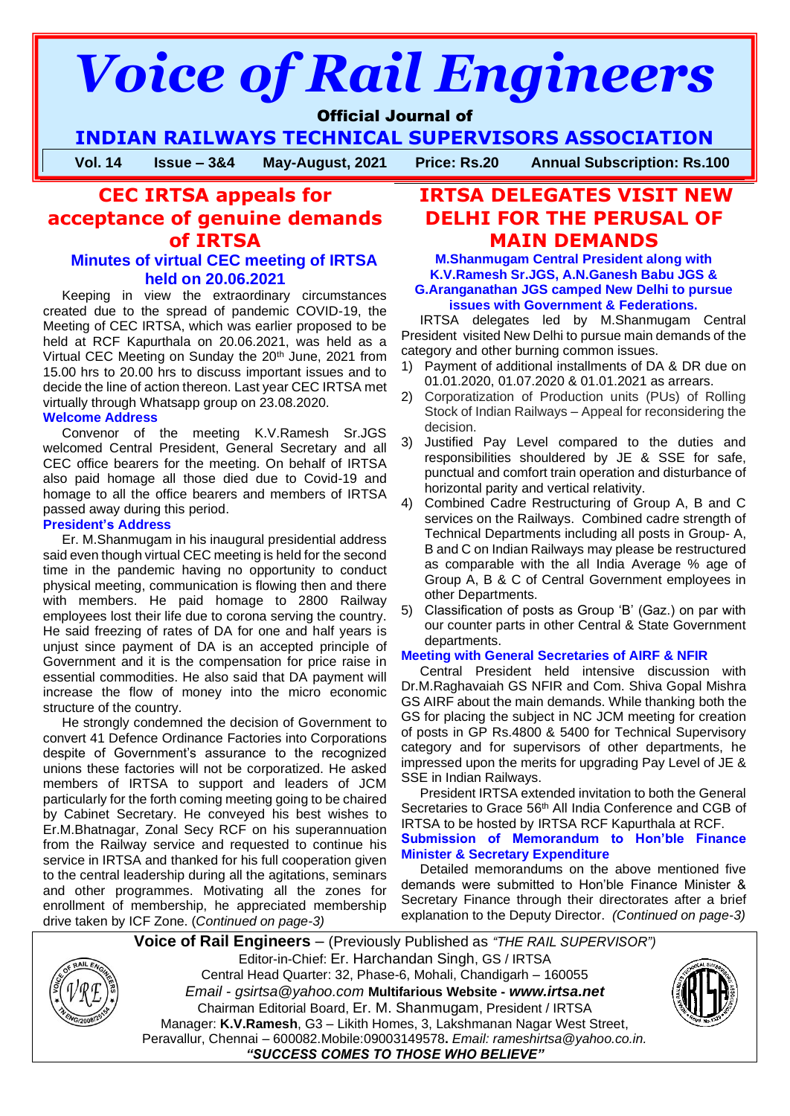# *Voice of Rail Engineers*

# Official Journal of

**INDIAN RAILWAYS TECHNICAL SUPERVISORS ASSOCIATION**

**Vol. 14 Issue – 3&4 May-August, 2021 Price: Rs.20 Annual Subscription: Rs.100**

# **CEC IRTSA appeals for acceptance of genuine demands of IRTSA**

#### **Minutes of virtual CEC meeting of IRTSA held on 20.06.2021**

Keeping in view the extraordinary circumstances created due to the spread of pandemic COVID-19, the Meeting of CEC IRTSA, which was earlier proposed to be held at RCF Kapurthala on 20.06.2021, was held as a Virtual CEC Meeting on Sunday the 20<sup>th</sup> June, 2021 from 15.00 hrs to 20.00 hrs to discuss important issues and to decide the line of action thereon. Last year CEC IRTSA met virtually through Whatsapp group on 23.08.2020.

#### **Welcome Address**

Convenor of the meeting K.V.Ramesh Sr.JGS welcomed Central President, General Secretary and all CEC office bearers for the meeting. On behalf of IRTSA also paid homage all those died due to Covid-19 and homage to all the office bearers and members of IRTSA passed away during this period.

#### **President's Address**

Er. M.Shanmugam in his inaugural presidential address said even though virtual CEC meeting is held for the second time in the pandemic having no opportunity to conduct physical meeting, communication is flowing then and there with members. He paid homage to 2800 Railway employees lost their life due to corona serving the country. He said freezing of rates of DA for one and half years is unjust since payment of DA is an accepted principle of Government and it is the compensation for price raise in essential commodities. He also said that DA payment will increase the flow of money into the micro economic structure of the country.

He strongly condemned the decision of Government to convert 41 Defence Ordinance Factories into Corporations despite of Government's assurance to the recognized unions these factories will not be corporatized. He asked members of IRTSA to support and leaders of JCM particularly for the forth coming meeting going to be chaired by Cabinet Secretary. He conveyed his best wishes to Er.M.Bhatnagar, Zonal Secy RCF on his superannuation from the Railway service and requested to continue his service in IRTSA and thanked for his full cooperation given to the central leadership during all the agitations, seminars and other programmes. Motivating all the zones for enrollment of membership, he appreciated membership drive taken by ICF Zone. (*Continued on page-3)*

# **IRTSA DELEGATES VISIT NEW DELHI FOR THE PERUSAL OF MAIN DEMANDS**

**M.Shanmugam Central President along with K.V.Ramesh Sr.JGS, A.N.Ganesh Babu JGS & G.Aranganathan JGS camped New Delhi to pursue issues with Government & Federations.**

IRTSA delegates led by M.Shanmugam Central President visited New Delhi to pursue main demands of the category and other burning common issues.

- 1) Payment of additional installments of DA & DR due on 01.01.2020, 01.07.2020 & 01.01.2021 as arrears.
- 2) Corporatization of Production units (PUs) of Rolling Stock of Indian Railways – Appeal for reconsidering the decision.
- 3) Justified Pay Level compared to the duties and responsibilities shouldered by JE & SSE for safe, punctual and comfort train operation and disturbance of horizontal parity and vertical relativity.
- 4) Combined Cadre Restructuring of Group A, B and C services on the Railways. Combined cadre strength of Technical Departments including all posts in Group- A, B and C on Indian Railways may please be restructured as comparable with the all India Average % age of Group A, B & C of Central Government employees in other Departments.
- 5) Classification of posts as Group 'B' (Gaz.) on par with our counter parts in other Central & State Government departments.

#### **Meeting with General Secretaries of AIRF & NFIR**

Central President held intensive discussion with Dr.M.Raghavaiah GS NFIR and Com. Shiva Gopal Mishra GS AIRF about the main demands. While thanking both the GS for placing the subject in NC JCM meeting for creation of posts in GP Rs.4800 & 5400 for Technical Supervisory category and for supervisors of other departments, he impressed upon the merits for upgrading Pay Level of JE & SSE in Indian Railways.

President IRTSA extended invitation to both the General Secretaries to Grace 56<sup>th</sup> All India Conference and CGB of IRTSA to be hosted by IRTSA RCF Kapurthala at RCF.

#### **Submission of Memorandum to Hon'ble Finance Minister & Secretary Expenditure**

Detailed memorandums on the above mentioned five demands were submitted to Hon'ble Finance Minister & Secretary Finance through their directorates after a brief explanation to the Deputy Director. *(Continued on page-3)*



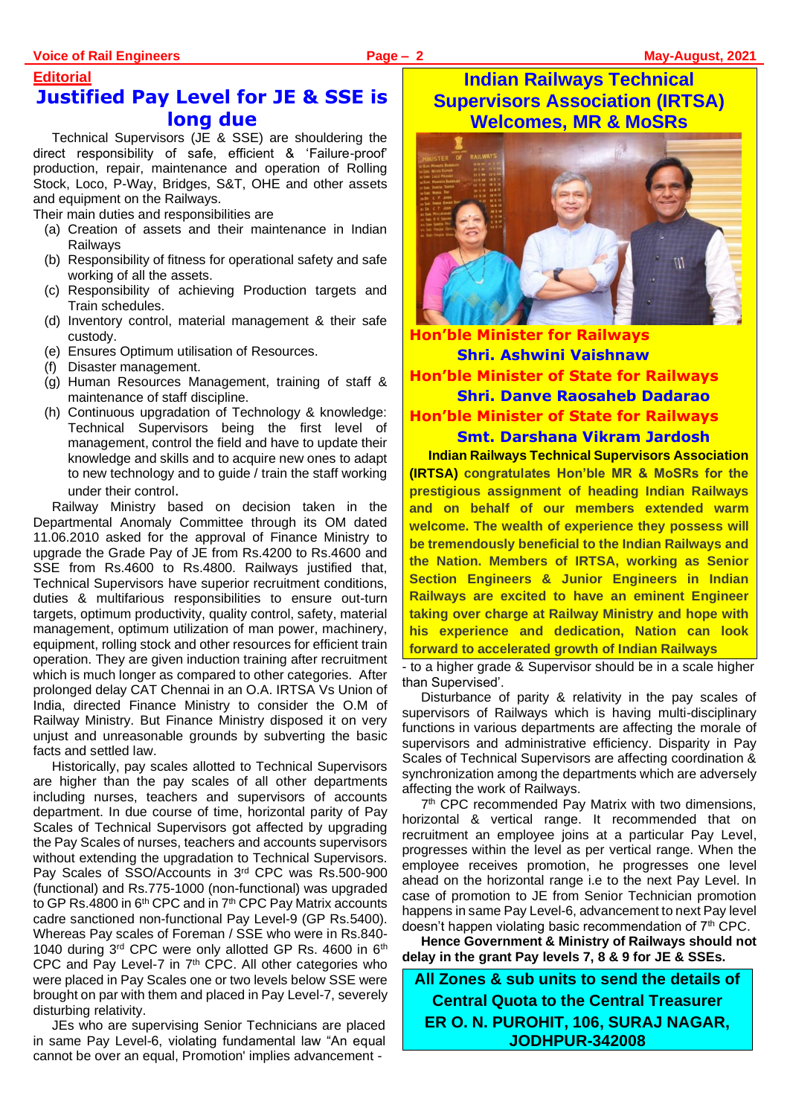# **Editorial Justified Pay Level for JE & SSE is long due**

Technical Supervisors (JE & SSE) are shouldering the direct responsibility of safe, efficient & 'Failure-proof' production, repair, maintenance and operation of Rolling Stock, Loco, P-Way, Bridges, S&T, OHE and other assets and equipment on the Railways.

Their main duties and responsibilities are

- (a) Creation of assets and their maintenance in Indian **Railwavs**
- (b) Responsibility of fitness for operational safety and safe working of all the assets.
- (c) Responsibility of achieving Production targets and Train schedules.
- (d) Inventory control, material management & their safe custody.
- (e) Ensures Optimum utilisation of Resources.
- (f) Disaster management.
- (g) Human Resources Management, training of staff & maintenance of staff discipline.
- (h) Continuous upgradation of Technology & knowledge: Technical Supervisors being the first level of management, control the field and have to update their knowledge and skills and to acquire new ones to adapt to new technology and to guide / train the staff working under their control.

Railway Ministry based on decision taken in the Departmental Anomaly Committee through its OM dated 11.06.2010 asked for the approval of Finance Ministry to upgrade the Grade Pay of JE from Rs.4200 to Rs.4600 and SSE from Rs.4600 to Rs.4800. Railways justified that, Technical Supervisors have superior recruitment conditions, duties & multifarious responsibilities to ensure out-turn targets, optimum productivity, quality control, safety, material management, optimum utilization of man power, machinery, equipment, rolling stock and other resources for efficient train operation. They are given induction training after recruitment which is much longer as compared to other categories. After prolonged delay CAT Chennai in an O.A. IRTSA Vs Union of India, directed Finance Ministry to consider the O.M of Railway Ministry. But Finance Ministry disposed it on very unjust and unreasonable grounds by subverting the basic facts and settled law.

Historically, pay scales allotted to Technical Supervisors are higher than the pay scales of all other departments including nurses, teachers and supervisors of accounts department. In due course of time, horizontal parity of Pay Scales of Technical Supervisors got affected by upgrading the Pay Scales of nurses, teachers and accounts supervisors without extending the upgradation to Technical Supervisors. Pay Scales of SSO/Accounts in 3rd CPC was Rs.500-900 (functional) and Rs.775-1000 (non-functional) was upgraded to GP Rs.4800 in 6<sup>th</sup> CPC and in 7<sup>th</sup> CPC Pay Matrix accounts cadre sanctioned non-functional Pay Level-9 (GP Rs.5400). Whereas Pay scales of Foreman / SSE who were in Rs.840- 1040 during 3rd CPC were only allotted GP Rs. 4600 in 6th CPC and Pay Level-7 in 7th CPC. All other categories who were placed in Pay Scales one or two levels below SSE were brought on par with them and placed in Pay Level-7, severely disturbing relativity.

JEs who are supervising Senior Technicians are placed in same Pay Level-6, violating fundamental law "An equal cannot be over an equal, Promotion' implies advancement -

# **Indian Railways Technical Supervisors Association (IRTSA) Welcomes, MR & MoSRs**



**Hon'ble Minister for Railways Shri. Ashwini Vaishnaw Hon'ble Minister of State for Railways Shri. Danve Raosaheb Dadarao Hon'ble Minister of State for Railways Smt. Darshana Vikram Jardosh**

**Indian Railways Technical Supervisors Association (IRTSA) congratulates Hon'ble MR & MoSRs for the prestigious assignment of heading Indian Railways and on behalf of our members extended warm welcome. The wealth of experience they possess will be tremendously beneficial to the Indian Railways and the Nation. Members of IRTSA, working as Senior Section Engineers & Junior Engineers in Indian Railways are excited to have an eminent Engineer taking over charge at Railway Ministry and hope with his experience and dedication, Nation can look forward to accelerated growth of Indian Railways**

to a higher grade & Supervisor should be in a scale higher than Supervised'.

Disturbance of parity & relativity in the pay scales of supervisors of Railways which is having multi-disciplinary functions in various departments are affecting the morale of supervisors and administrative efficiency. Disparity in Pay Scales of Technical Supervisors are affecting coordination & synchronization among the departments which are adversely affecting the work of Railways.

7 th CPC recommended Pay Matrix with two dimensions, horizontal & vertical range. It recommended that on recruitment an employee joins at a particular Pay Level, progresses within the level as per vertical range. When the employee receives promotion, he progresses one level ahead on the horizontal range i.e to the next Pay Level. In case of promotion to JE from Senior Technician promotion happens in same Pay Level-6, advancement to next Pay level doesn't happen violating basic recommendation of 7<sup>th</sup> CPC.

**Hence Government & Ministry of Railways should not delay in the grant Pay levels 7, 8 & 9 for JE & SSEs.**

**All Zones & sub units to send the details of Central Quota to the Central Treasurer ER O. N. PUROHIT, 106, SURAJ NAGAR, JODHPUR-342008**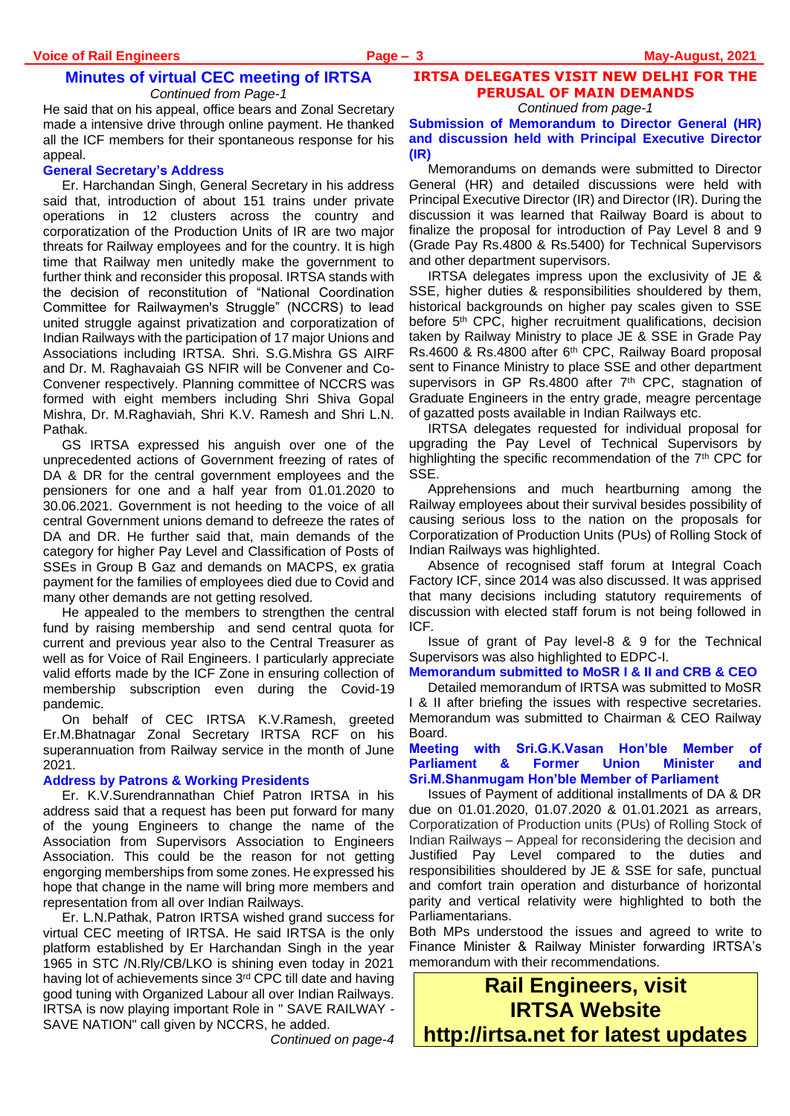He said that on his appeal, office bears and Zonal Secretary made a intensive drive through online payment. He thanked all the ICF members for their spontaneous response for his appeal.

#### **General Secretary's Address**

Er. Harchandan Singh, General Secretary in his address said that, introduction of about 151 trains under private operations in 12 clusters across the country and corporatization of the Production Units of IR are two major threats for Railway employees and for the country. It is high time that Railway men unitedly make the government to further think and reconsider this proposal. IRTSA stands with the decision of reconstitution of "National Coordination Committee for Railwaymen's Struggle" (NCCRS) to lead united struggle against privatization and corporatization of Indian Railways with the participation of 17 major Unions and Associations including IRTSA. Shri. S.G.Mishra GS AIRF and Dr. M. Raghavaiah GS NFIR will be Convener and Co-Convener respectively. Planning committee of NCCRS was formed with eight members including Shri Shiva Gopal Mishra, Dr. M.Raghaviah, Shri K.V. Ramesh and Shri L.N. Pathak.

GS IRTSA expressed his anguish over one of the unprecedented actions of Government freezing of rates of DA & DR for the central government employees and the pensioners for one and a half year from 01.01.2020 to 30.06.2021. Government is not heeding to the voice of all central Government unions demand to defreeze the rates of DA and DR. He further said that, main demands of the category for higher Pay Level and Classification of Posts of SSEs in Group B Gaz and demands on MACPS, ex gratia payment for the families of employees died due to Covid and many other demands are not getting resolved.

He appealed to the members to strengthen the central fund by raising membership and send central quota for current and previous year also to the Central Treasurer as well as for Voice of Rail Engineers. I particularly appreciate valid efforts made by the ICF Zone in ensuring collection of membership subscription even during the Covid-19 pandemic.

On behalf of CEC IRTSA K.V.Ramesh, greeted Er.M.Bhatnagar Zonal Secretary IRTSA RCF on his superannuation from Railway service in the month of June 2021.

#### **Address by Patrons & Working Presidents**

Er. K.V.Surendrannathan Chief Patron IRTSA in his address said that a request has been put forward for many of the young Engineers to change the name of the Association from Supervisors Association to Engineers Association. This could be the reason for not getting engorging memberships from some zones. He expressed his hope that change in the name will bring more members and representation from all over Indian Railways.

Er. L.N.Pathak, Patron IRTSA wished grand success for virtual CEC meeting of IRTSA. He said IRTSA is the only platform established by Er Harchandan Singh in the year 1965 in STC /N.Rly/CB/LKO is shining even today in 2021 having lot of achievements since 3<sup>rd</sup> CPC till date and having good tuning with Organized Labour all over Indian Railways. IRTSA is now playing important Role in " SAVE RAILWAY - SAVE NATION" call given by NCCRS, he added.

*Continued on page-4*

# **IRTSA DELEGATES VISIT NEW DELHI FOR THE PERUSAL OF MAIN DEMANDS**

*Continued from page-1*

**Submission of Memorandum to Director General (HR) and discussion held with Principal Executive Director (IR)**

Memorandums on demands were submitted to Director General (HR) and detailed discussions were held with Principal Executive Director (IR) and Director (IR). During the discussion it was learned that Railway Board is about to finalize the proposal for introduction of Pay Level 8 and 9 (Grade Pay Rs.4800 & Rs.5400) for Technical Supervisors and other department supervisors.

IRTSA delegates impress upon the exclusivity of JE & SSE, higher duties & responsibilities shouldered by them, historical backgrounds on higher pay scales given to SSE before 5<sup>th</sup> CPC, higher recruitment qualifications, decision taken by Railway Ministry to place JE & SSE in Grade Pay Rs.4600 & Rs.4800 after 6<sup>th</sup> CPC, Railway Board proposal sent to Finance Ministry to place SSE and other department supervisors in GP Rs.4800 after 7<sup>th</sup> CPC, stagnation of Graduate Engineers in the entry grade, meagre percentage of gazatted posts available in Indian Railways etc.

IRTSA delegates requested for individual proposal for upgrading the Pay Level of Technical Supervisors by highlighting the specific recommendation of the 7<sup>th</sup> CPC for SSE.

Apprehensions and much heartburning among the Railway employees about their survival besides possibility of causing serious loss to the nation on the proposals for Corporatization of Production Units (PUs) of Rolling Stock of Indian Railways was highlighted.

Absence of recognised staff forum at Integral Coach Factory ICF, since 2014 was also discussed. It was apprised that many decisions including statutory requirements of discussion with elected staff forum is not being followed in ICF.

Issue of grant of Pay level-8 & 9 for the Technical Supervisors was also highlighted to EDPC-I.

#### **Memorandum submitted to MoSR I & II and CRB & CEO**

Detailed memorandum of IRTSA was submitted to MoSR I & II after briefing the issues with respective secretaries. Memorandum was submitted to Chairman & CEO Railway Board.

#### **Meeting with Sri.G.K.Vasan Hon'ble Member of Parliament & Former Union Minister and Sri.M.Shanmugam Hon'ble Member of Parliament**

Issues of Payment of additional installments of DA & DR due on 01.01.2020, 01.07.2020 & 01.01.2021 as arrears, Corporatization of Production units (PUs) of Rolling Stock of Indian Railways – Appeal for reconsidering the decision and Justified Pay Level compared to the duties and responsibilities shouldered by JE & SSE for safe, punctual and comfort train operation and disturbance of horizontal parity and vertical relativity were highlighted to both the Parliamentarians.

Both MPs understood the issues and agreed to write to Finance Minister & Railway Minister forwarding IRTSA's memorandum with their recommendations.

**Rail Engineers, visit IRTSA Website http://irtsa.net for latest updates**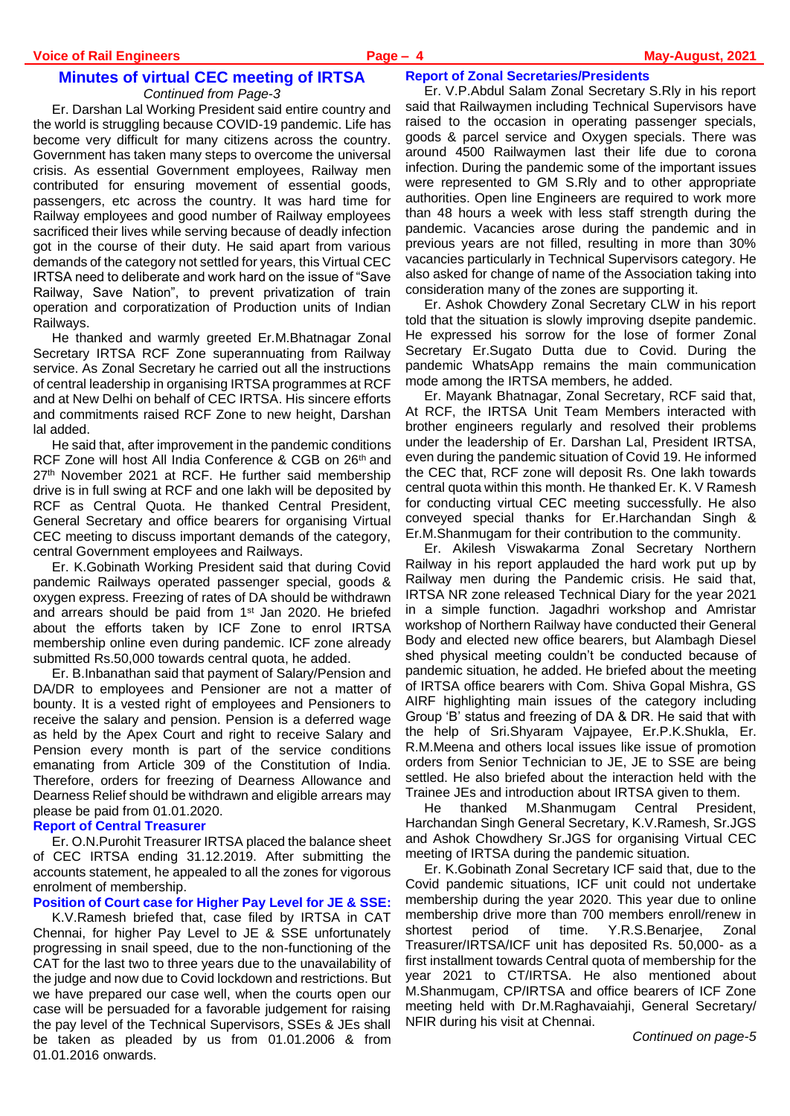Er. Darshan Lal Working President said entire country and the world is struggling because COVID-19 pandemic. Life has become very difficult for many citizens across the country. Government has taken many steps to overcome the universal crisis. As essential Government employees, Railway men contributed for ensuring movement of essential goods, passengers, etc across the country. It was hard time for Railway employees and good number of Railway employees sacrificed their lives while serving because of deadly infection got in the course of their duty. He said apart from various demands of the category not settled for years, this Virtual CEC IRTSA need to deliberate and work hard on the issue of "Save Railway, Save Nation", to prevent privatization of train operation and corporatization of Production units of Indian Railways.

He thanked and warmly greeted Er.M.Bhatnagar Zonal Secretary IRTSA RCF Zone superannuating from Railway service. As Zonal Secretary he carried out all the instructions of central leadership in organising IRTSA programmes at RCF and at New Delhi on behalf of CEC IRTSA. His sincere efforts and commitments raised RCF Zone to new height, Darshan lal added.

He said that, after improvement in the pandemic conditions RCF Zone will host All India Conference & CGB on 26th and 27<sup>th</sup> November 2021 at RCF. He further said membership drive is in full swing at RCF and one lakh will be deposited by RCF as Central Quota. He thanked Central President, General Secretary and office bearers for organising Virtual CEC meeting to discuss important demands of the category, central Government employees and Railways.

Er. K.Gobinath Working President said that during Covid pandemic Railways operated passenger special, goods & oxygen express. Freezing of rates of DA should be withdrawn and arrears should be paid from 1st Jan 2020. He briefed about the efforts taken by ICF Zone to enrol IRTSA membership online even during pandemic. ICF zone already submitted Rs.50,000 towards central quota, he added.

Er. B.Inbanathan said that payment of Salary/Pension and DA/DR to employees and Pensioner are not a matter of bounty. It is a vested right of employees and Pensioners to receive the salary and pension. Pension is a deferred wage as held by the Apex Court and right to receive Salary and Pension every month is part of the service conditions emanating from Article 309 of the Constitution of India. Therefore, orders for freezing of Dearness Allowance and Dearness Relief should be withdrawn and eligible arrears may please be paid from 01.01.2020.

#### **Report of Central Treasurer**

Er. O.N.Purohit Treasurer IRTSA placed the balance sheet of CEC IRTSA ending 31.12.2019. After submitting the accounts statement, he appealed to all the zones for vigorous enrolment of membership.

#### **Position of Court case for Higher Pay Level for JE & SSE:**

K.V.Ramesh briefed that, case filed by IRTSA in CAT Chennai, for higher Pay Level to JE & SSE unfortunately progressing in snail speed, due to the non-functioning of the CAT for the last two to three years due to the unavailability of the judge and now due to Covid lockdown and restrictions. But we have prepared our case well, when the courts open our case will be persuaded for a favorable judgement for raising the pay level of the Technical Supervisors, SSEs & JEs shall be taken as pleaded by us from 01.01.2006 & from 01.01.2016 onwards.

#### **Report of Zonal Secretaries/Presidents**

Er. V.P.Abdul Salam Zonal Secretary S.Rly in his report said that Railwaymen including Technical Supervisors have raised to the occasion in operating passenger specials, goods & parcel service and Oxygen specials. There was around 4500 Railwaymen last their life due to corona infection. During the pandemic some of the important issues were represented to GM S.Rly and to other appropriate authorities. Open line Engineers are required to work more than 48 hours a week with less staff strength during the pandemic. Vacancies arose during the pandemic and in previous years are not filled, resulting in more than 30% vacancies particularly in Technical Supervisors category. He also asked for change of name of the Association taking into consideration many of the zones are supporting it.

Er. Ashok Chowdery Zonal Secretary CLW in his report told that the situation is slowly improving dsepite pandemic. He expressed his sorrow for the lose of former Zonal Secretary Er.Sugato Dutta due to Covid. During the pandemic WhatsApp remains the main communication mode among the IRTSA members, he added.

Er. Mayank Bhatnagar, Zonal Secretary, RCF said that, At RCF, the IRTSA Unit Team Members interacted with brother engineers regularly and resolved their problems under the leadership of Er. Darshan Lal, President IRTSA, even during the pandemic situation of Covid 19. He informed the CEC that, RCF zone will deposit Rs. One lakh towards central quota within this month. He thanked Er. K. V Ramesh for conducting virtual CEC meeting successfully. He also conveyed special thanks for Er.Harchandan Singh & Er.M.Shanmugam for their contribution to the community.

Er. Akilesh Viswakarma Zonal Secretary Northern Railway in his report applauded the hard work put up by Railway men during the Pandemic crisis. He said that, IRTSA NR zone released Technical Diary for the year 2021 in a simple function. Jagadhri workshop and Amristar workshop of Northern Railway have conducted their General Body and elected new office bearers, but Alambagh Diesel shed physical meeting couldn't be conducted because of pandemic situation, he added. He briefed about the meeting of IRTSA office bearers with Com. Shiva Gopal Mishra, GS AIRF highlighting main issues of the category including Group 'B' status and freezing of DA & DR. He said that with the help of Sri.Shyaram Vajpayee, Er.P.K.Shukla, Er. R.M.Meena and others local issues like issue of promotion orders from Senior Technician to JE, JE to SSE are being settled. He also briefed about the interaction held with the Trainee JEs and introduction about IRTSA given to them.

He thanked M.Shanmugam Central President, Harchandan Singh General Secretary, K.V.Ramesh, Sr.JGS and Ashok Chowdhery Sr.JGS for organising Virtual CEC meeting of IRTSA during the pandemic situation.

Er. K.Gobinath Zonal Secretary ICF said that, due to the Covid pandemic situations, ICF unit could not undertake membership during the year 2020. This year due to online membership drive more than 700 members enroll/renew in shortest period of time. Y.R.S.Benarjee, Zonal Treasurer/IRTSA/ICF unit has deposited Rs. 50,000- as a first installment towards Central quota of membership for the year 2021 to CT/IRTSA. He also mentioned about M.Shanmugam, CP/IRTSA and office bearers of ICF Zone meeting held with Dr.M.Raghavaiahji, General Secretary/ NFIR during his visit at Chennai.

*Continued on page-5*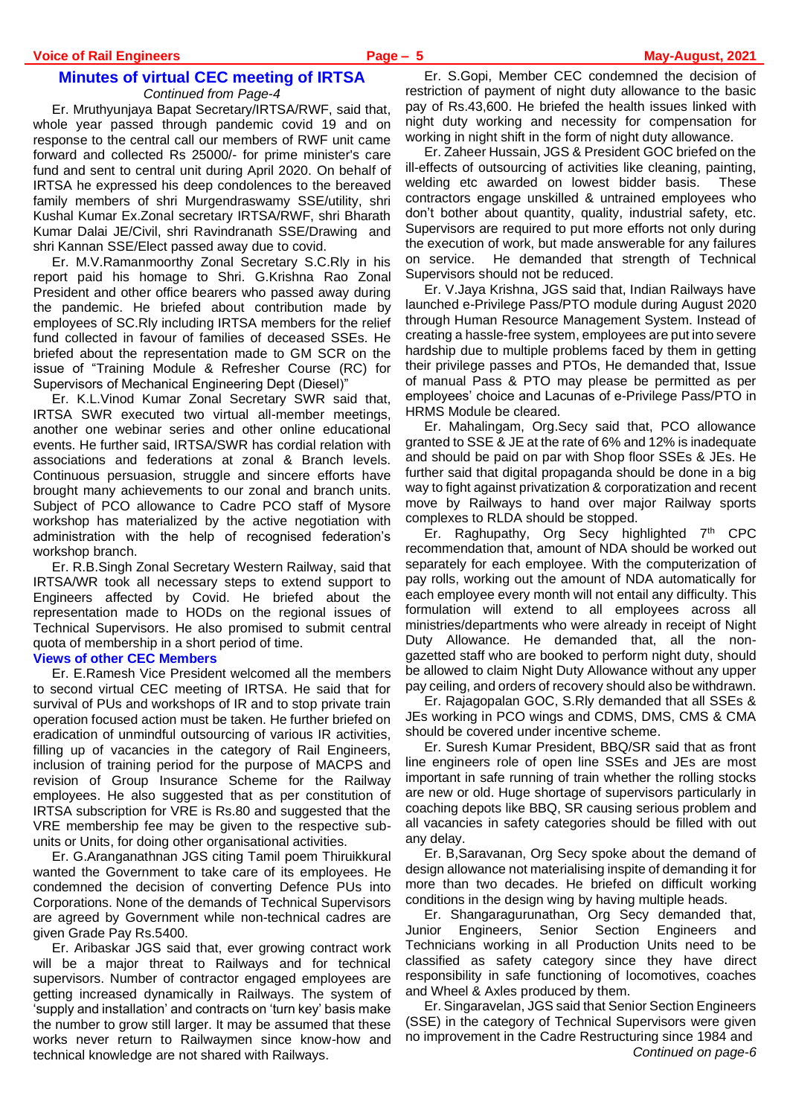Er. Mruthyunjaya Bapat Secretary/IRTSA/RWF, said that, whole year passed through pandemic covid 19 and on response to the central call our members of RWF unit came forward and collected Rs 25000/- for prime minister's care fund and sent to central unit during April 2020. On behalf of IRTSA he expressed his deep condolences to the bereaved family members of shri Murgendraswamy SSE/utility, shri Kushal Kumar Ex.Zonal secretary IRTSA/RWF, shri Bharath Kumar Dalai JE/Civil, shri Ravindranath SSE/Drawing and shri Kannan SSE/Elect passed away due to covid.

Er. M.V.Ramanmoorthy Zonal Secretary S.C.Rly in his report paid his homage to Shri. G.Krishna Rao Zonal President and other office bearers who passed away during the pandemic. He briefed about contribution made by employees of SC.Rly including IRTSA members for the relief fund collected in favour of families of deceased SSEs. He briefed about the representation made to GM SCR on the issue of "Training Module & Refresher Course (RC) for Supervisors of Mechanical Engineering Dept (Diesel)"

Er. K.L.Vinod Kumar Zonal Secretary SWR said that, IRTSA SWR executed two virtual all-member meetings, another one webinar series and other online educational events. He further said, IRTSA/SWR has cordial relation with associations and federations at zonal & Branch levels. Continuous persuasion, struggle and sincere efforts have brought many achievements to our zonal and branch units. Subject of PCO allowance to Cadre PCO staff of Mysore workshop has materialized by the active negotiation with administration with the help of recognised federation's workshop branch.

Er. R.B.Singh Zonal Secretary Western Railway, said that IRTSA/WR took all necessary steps to extend support to Engineers affected by Covid. He briefed about the representation made to HODs on the regional issues of Technical Supervisors. He also promised to submit central quota of membership in a short period of time.

## **Views of other CEC Members**

Er. E.Ramesh Vice President welcomed all the members to second virtual CEC meeting of IRTSA. He said that for survival of PUs and workshops of IR and to stop private train operation focused action must be taken. He further briefed on eradication of unmindful outsourcing of various IR activities, filling up of vacancies in the category of Rail Engineers, inclusion of training period for the purpose of MACPS and revision of Group Insurance Scheme for the Railway employees. He also suggested that as per constitution of IRTSA subscription for VRE is Rs.80 and suggested that the VRE membership fee may be given to the respective subunits or Units, for doing other organisational activities.

Er. G.Aranganathnan JGS citing Tamil poem Thiruikkural wanted the Government to take care of its employees. He condemned the decision of converting Defence PUs into Corporations. None of the demands of Technical Supervisors are agreed by Government while non-technical cadres are given Grade Pay Rs.5400.

Er. Aribaskar JGS said that, ever growing contract work will be a major threat to Railways and for technical supervisors. Number of contractor engaged employees are getting increased dynamically in Railways. The system of 'supply and installation' and contracts on 'turn key' basis make the number to grow still larger. It may be assumed that these works never return to Railwaymen since know-how and technical knowledge are not shared with Railways.

Er. S.Gopi, Member CEC condemned the decision of restriction of payment of night duty allowance to the basic pay of Rs.43,600. He briefed the health issues linked with night duty working and necessity for compensation for working in night shift in the form of night duty allowance.

Er. Zaheer Hussain, JGS & President GOC briefed on the ill-effects of outsourcing of activities like cleaning, painting, welding etc awarded on lowest bidder basis. These contractors engage unskilled & untrained employees who don't bother about quantity, quality, industrial safety, etc. Supervisors are required to put more efforts not only during the execution of work, but made answerable for any failures on service. He demanded that strength of Technical Supervisors should not be reduced.

Er. V.Jaya Krishna, JGS said that, Indian Railways have launched e-Privilege Pass/PTO module during August 2020 through Human Resource Management System. Instead of creating a hassle-free system, employees are put into severe hardship due to multiple problems faced by them in getting their privilege passes and PTOs, He demanded that, Issue of manual Pass & PTO may please be permitted as per employees' choice and Lacunas of e-Privilege Pass/PTO in HRMS Module be cleared.

Er. Mahalingam, Org.Secy said that, PCO allowance granted to SSE & JE at the rate of 6% and 12% is inadequate and should be paid on par with Shop floor SSEs & JEs. He further said that digital propaganda should be done in a big way to fight against privatization & corporatization and recent move by Railways to hand over major Railway sports complexes to RLDA should be stopped.

Er. Raghupathy, Org Secy highlighted 7th CPC recommendation that, amount of NDA should be worked out separately for each employee. With the computerization of pay rolls, working out the amount of NDA automatically for each employee every month will not entail any difficulty. This formulation will extend to all employees across all ministries/departments who were already in receipt of Night Duty Allowance. He demanded that, all the nongazetted staff who are booked to perform night duty, should be allowed to claim Night Duty Allowance without any upper pay ceiling, and orders of recovery should also be withdrawn.

Er. Rajagopalan GOC, S.Rly demanded that all SSEs & JEs working in PCO wings and CDMS, DMS, CMS & CMA should be covered under incentive scheme.

Er. Suresh Kumar President, BBQ/SR said that as front line engineers role of open line SSEs and JEs are most important in safe running of train whether the rolling stocks are new or old. Huge shortage of supervisors particularly in coaching depots like BBQ, SR causing serious problem and all vacancies in safety categories should be filled with out any delay.

Er. B,Saravanan, Org Secy spoke about the demand of design allowance not materialising inspite of demanding it for more than two decades. He briefed on difficult working conditions in the design wing by having multiple heads.

Er. Shangaragurunathan, Org Secy demanded that, Junior Engineers, Senior Section Engineers and Technicians working in all Production Units need to be classified as safety category since they have direct responsibility in safe functioning of locomotives, coaches and Wheel & Axles produced by them.

Er. Singaravelan, JGS said that Senior Section Engineers (SSE) in the category of Technical Supervisors were given no improvement in the Cadre Restructuring since 1984 and *Continued on page-6*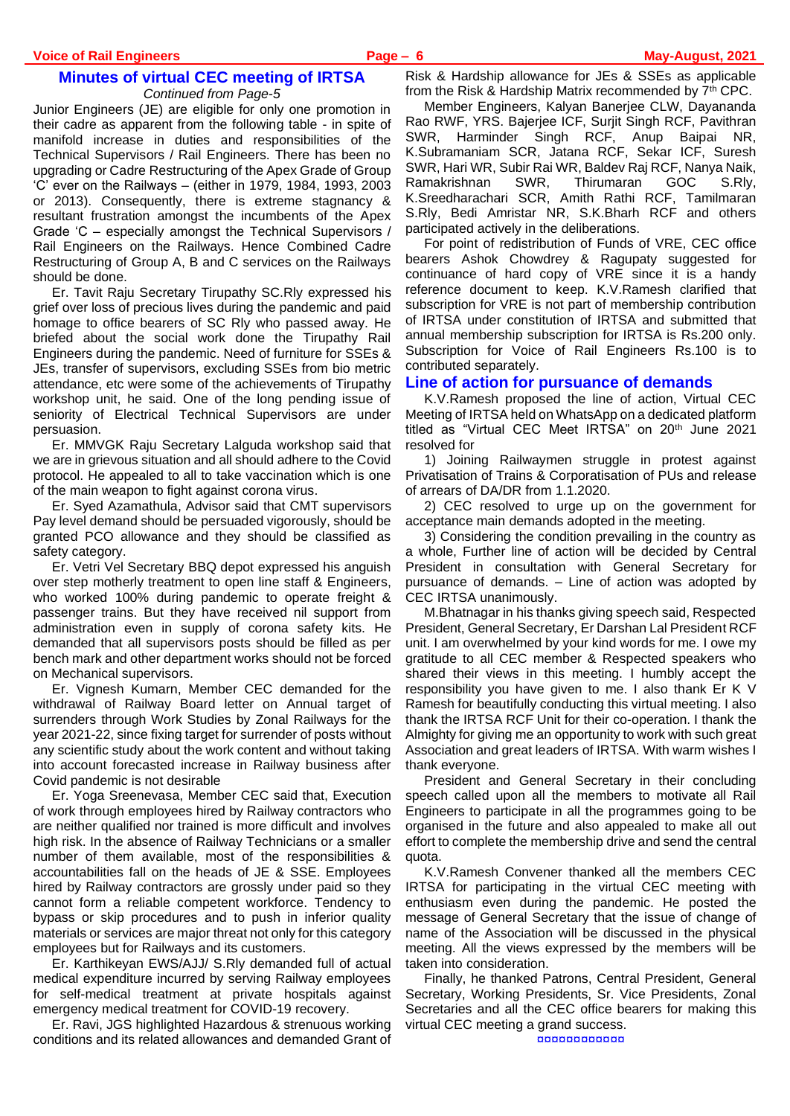Junior Engineers (JE) are eligible for only one promotion in their cadre as apparent from the following table - in spite of manifold increase in duties and responsibilities of the Technical Supervisors / Rail Engineers. There has been no upgrading or Cadre Restructuring of the Apex Grade of Group 'C' ever on the Railways – (either in 1979, 1984, 1993, 2003 or 2013). Consequently, there is extreme stagnancy & resultant frustration amongst the incumbents of the Apex Grade 'C – especially amongst the Technical Supervisors / Rail Engineers on the Railways. Hence Combined Cadre Restructuring of Group A, B and C services on the Railways should be done.

Er. Tavit Raju Secretary Tirupathy SC.Rly expressed his grief over loss of precious lives during the pandemic and paid homage to office bearers of SC Rly who passed away. He briefed about the social work done the Tirupathy Rail Engineers during the pandemic. Need of furniture for SSEs & JEs, transfer of supervisors, excluding SSEs from bio metric attendance, etc were some of the achievements of Tirupathy workshop unit, he said. One of the long pending issue of seniority of Electrical Technical Supervisors are under persuasion.

Er. MMVGK Raju Secretary Lalguda workshop said that we are in grievous situation and all should adhere to the Covid protocol. He appealed to all to take vaccination which is one of the main weapon to fight against corona virus.

Er. Syed Azamathula, Advisor said that CMT supervisors Pay level demand should be persuaded vigorously, should be granted PCO allowance and they should be classified as safety category.

Er. Vetri Vel Secretary BBQ depot expressed his anguish over step motherly treatment to open line staff & Engineers, who worked 100% during pandemic to operate freight & passenger trains. But they have received nil support from administration even in supply of corona safety kits. He demanded that all supervisors posts should be filled as per bench mark and other department works should not be forced on Mechanical supervisors.

Er. Vignesh Kumarn, Member CEC demanded for the withdrawal of Railway Board letter on Annual target of surrenders through Work Studies by Zonal Railways for the year 2021-22, since fixing target for surrender of posts without any scientific study about the work content and without taking into account forecasted increase in Railway business after Covid pandemic is not desirable

Er. Yoga Sreenevasa, Member CEC said that, Execution of work through employees hired by Railway contractors who are neither qualified nor trained is more difficult and involves high risk. In the absence of Railway Technicians or a smaller number of them available, most of the responsibilities & accountabilities fall on the heads of JE & SSE. Employees hired by Railway contractors are grossly under paid so they cannot form a reliable competent workforce. Tendency to bypass or skip procedures and to push in inferior quality materials or services are major threat not only for this category employees but for Railways and its customers.

Er. Karthikeyan EWS/AJJ/ S.Rly demanded full of actual medical expenditure incurred by serving Railway employees for self-medical treatment at private hospitals against emergency medical treatment for COVID-19 recovery.

Er. Ravi, JGS highlighted Hazardous & strenuous working conditions and its related allowances and demanded Grant of Risk & Hardship allowance for JEs & SSEs as applicable from the Risk & Hardship Matrix recommended by 7th CPC.

Member Engineers, Kalyan Banerjee CLW, Dayananda Rao RWF, YRS. Bajerjee ICF, Surjit Singh RCF, Pavithran SWR, Harminder Singh RCF, Anup Baipai NR, K.Subramaniam SCR, Jatana RCF, Sekar ICF, Suresh SWR, Hari WR, Subir Rai WR, Baldev Raj RCF, Nanya Naik, Ramakrishnan SWR, Thirumaran GOC S.Rly, K.Sreedharachari SCR, Amith Rathi RCF, Tamilmaran S.Rly, Bedi Amristar NR, S.K.Bharh RCF and others participated actively in the deliberations.

For point of redistribution of Funds of VRE, CEC office bearers Ashok Chowdrey & Ragupaty suggested for continuance of hard copy of VRE since it is a handy reference document to keep. K.V.Ramesh clarified that subscription for VRE is not part of membership contribution of IRTSA under constitution of IRTSA and submitted that annual membership subscription for IRTSA is Rs.200 only. Subscription for Voice of Rail Engineers Rs.100 is to contributed separately.

#### **Line of action for pursuance of demands**

K.V.Ramesh proposed the line of action, Virtual CEC Meeting of IRTSA held on WhatsApp on a dedicated platform titled as "Virtual CEC Meet IRTSA" on 20th June 2021 resolved for

1) Joining Railwaymen struggle in protest against Privatisation of Trains & Corporatisation of PUs and release of arrears of DA/DR from 1.1.2020.

2) CEC resolved to urge up on the government for acceptance main demands adopted in the meeting.

3) Considering the condition prevailing in the country as a whole, Further line of action will be decided by Central President in consultation with General Secretary for pursuance of demands. – Line of action was adopted by CEC IRTSA unanimously.

M.Bhatnagar in his thanks giving speech said, Respected President, General Secretary, Er Darshan Lal President RCF unit. I am overwhelmed by your kind words for me. I owe my gratitude to all CEC member & Respected speakers who shared their views in this meeting. I humbly accept the responsibility you have given to me. I also thank Er K V Ramesh for beautifully conducting this virtual meeting. I also thank the IRTSA RCF Unit for their co-operation. I thank the Almighty for giving me an opportunity to work with such great Association and great leaders of IRTSA. With warm wishes I thank everyone.

President and General Secretary in their concluding speech called upon all the members to motivate all Rail Engineers to participate in all the programmes going to be organised in the future and also appealed to make all out effort to complete the membership drive and send the central quota.

K.V.Ramesh Convener thanked all the members CEC IRTSA for participating in the virtual CEC meeting with enthusiasm even during the pandemic. He posted the message of General Secretary that the issue of change of name of the Association will be discussed in the physical meeting. All the views expressed by the members will be taken into consideration.

Finally, he thanked Patrons, Central President, General Secretary, Working Presidents, Sr. Vice Presidents, Zonal Secretaries and all the CEC office bearers for making this virtual CEC meeting a grand success. ¤¤¤¤¤¤¤¤¤¤¤¤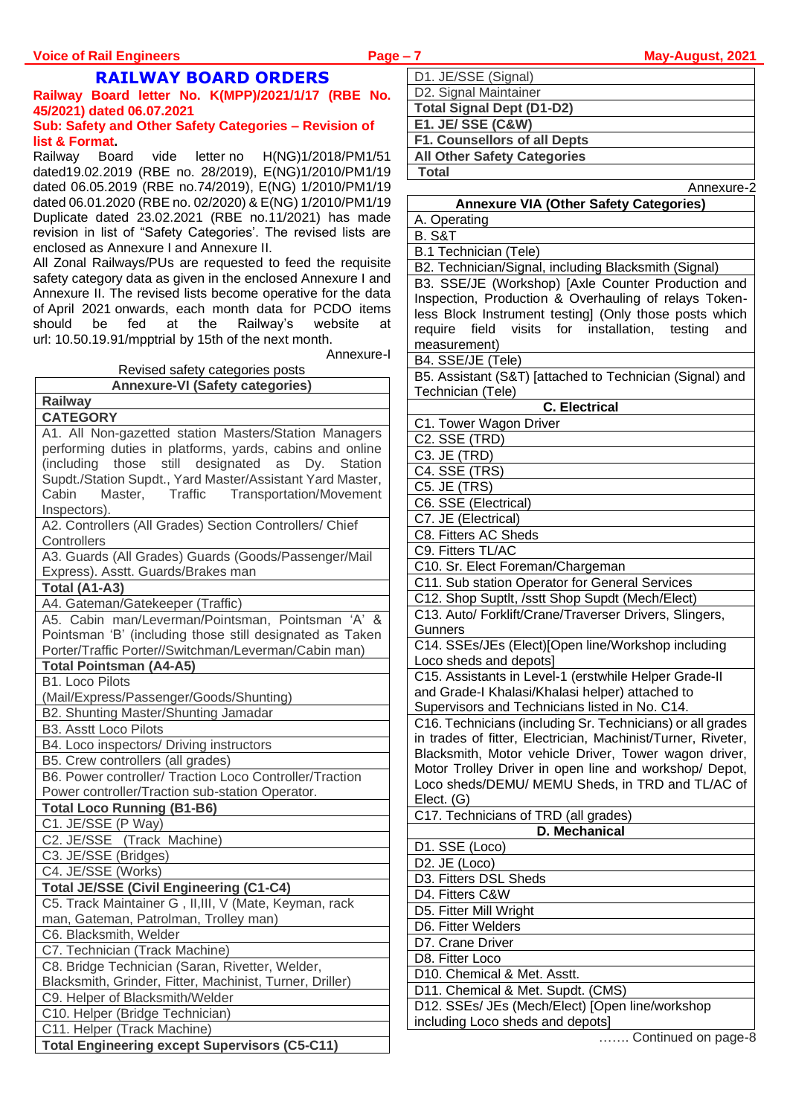# **RAILWAY BOARD ORDERS**

#### **Railway Board letter No. K(MPP)/2021/1/17 (RBE No. 45/2021) dated 06.07.2021 Sub: Safety and Other Safety Categories – Revision of list & Format.**

Railway Board vide letter no H(NG)1/2018/PM1/51 dated19.02.2019 (RBE no. 28/2019), E(NG)1/2010/PM1/19 dated 06.05.2019 (RBE no.74/2019), E(NG) 1/2010/PM1/19 dated 06.01.2020 (RBE no. 02/2020) & E(NG) 1/2010/PM1/19 Duplicate dated 23.02.2021 (RBE no.11/2021) has made revision in list of "Safety Categories'. The revised lists are enclosed as Annexure I and Annexure II.

All Zonal Railways/PUs are requested to feed the requisite safety category data as given in the enclosed Annexure I and Annexure II. The revised lists become operative for the data of April 2021 onwards, each month data for PCDO items<br>should be fed at the Railway's website at at the Railway's website at url: 10.50.19.91/mpptrial by 15th of the next month.

Annexure-I

| Revised safety categories posts                                                                                   |  |  |  |  |
|-------------------------------------------------------------------------------------------------------------------|--|--|--|--|
| <b>Annexure-VI (Safety categories)</b>                                                                            |  |  |  |  |
| Railway                                                                                                           |  |  |  |  |
| <b>CATEGORY</b>                                                                                                   |  |  |  |  |
| A1. All Non-gazetted station Masters/Station Managers<br>performing duties in platforms, yards, cabins and online |  |  |  |  |
| (including those<br>still designated as<br>Dy.<br>Station                                                         |  |  |  |  |
| Supdt./Station Supdt., Yard Master/Assistant Yard Master,                                                         |  |  |  |  |
| Traffic Transportation/Movement<br>Cabin<br>Master,                                                               |  |  |  |  |
| Inspectors).                                                                                                      |  |  |  |  |
| A2. Controllers (All Grades) Section Controllers/ Chief                                                           |  |  |  |  |
| Controllers                                                                                                       |  |  |  |  |
| A3. Guards (All Grades) Guards (Goods/Passenger/Mail                                                              |  |  |  |  |
| Express). Asstt. Guards/Brakes man                                                                                |  |  |  |  |
| Total (A1-A3)                                                                                                     |  |  |  |  |
| A4. Gateman/Gatekeeper (Traffic)                                                                                  |  |  |  |  |
| A5. Cabin man/Leverman/Pointsman, Pointsman 'A'<br>&                                                              |  |  |  |  |
| Pointsman 'B' (including those still designated as Taken                                                          |  |  |  |  |
| Porter/Traffic Porter//Switchman/Leverman/Cabin man)                                                              |  |  |  |  |
| <b>Total Pointsman (A4-A5)</b>                                                                                    |  |  |  |  |
| <b>B1. Loco Pilots</b>                                                                                            |  |  |  |  |
| (Mail/Express/Passenger/Goods/Shunting)                                                                           |  |  |  |  |
| B2. Shunting Master/Shunting Jamadar                                                                              |  |  |  |  |
| <b>B3. Asstt Loco Pilots</b>                                                                                      |  |  |  |  |
| B4. Loco inspectors/ Driving instructors                                                                          |  |  |  |  |
| B5. Crew controllers (all grades)                                                                                 |  |  |  |  |
| B6. Power controller/ Traction Loco Controller/Traction                                                           |  |  |  |  |
| Power controller/Traction sub-station Operator.                                                                   |  |  |  |  |
| <b>Total Loco Running (B1-B6)</b>                                                                                 |  |  |  |  |
| C1. JE/SSE (P Way)                                                                                                |  |  |  |  |
| C2. JE/SSE (Track Machine)                                                                                        |  |  |  |  |
| C3. JE/SSE (Bridges)                                                                                              |  |  |  |  |
| C4. JE/SSE (Works)                                                                                                |  |  |  |  |
| <b>Total JE/SSE (Civil Engineering (C1-C4)</b>                                                                    |  |  |  |  |
| C5. Track Maintainer G, II, III, V (Mate, Keyman, rack                                                            |  |  |  |  |
| man, Gateman, Patrolman, Trolley man)                                                                             |  |  |  |  |
| C6. Blacksmith, Welder                                                                                            |  |  |  |  |
| C7. Technician (Track Machine)                                                                                    |  |  |  |  |
| C8. Bridge Technician (Saran, Rivetter, Welder,                                                                   |  |  |  |  |
| Blacksmith, Grinder, Fitter, Machinist, Turner, Driller)                                                          |  |  |  |  |
| C9. Helper of Blacksmith/Welder                                                                                   |  |  |  |  |
| C10. Helper (Bridge Technician)                                                                                   |  |  |  |  |
| C11. Helper (Track Machine)                                                                                       |  |  |  |  |
| <b>Total Engineering except Supervisors (C5-C11)</b>                                                              |  |  |  |  |

| D1. JE/SSE (Signal)                 |  |
|-------------------------------------|--|
| D2. Signal Maintainer               |  |
| <b>Total Signal Dept (D1-D2)</b>    |  |
| <b>E1. JE/ SSE (C&amp;W)</b>        |  |
| <b>F1. Counsellors of all Depts</b> |  |
| <b>All Other Safety Categories</b>  |  |
|                                     |  |

**Total**

| Annexure-2                                                   |
|--------------------------------------------------------------|
| <b>Annexure VIA (Other Safety Categories)</b>                |
| A. Operating                                                 |
| <b>B. S&amp;T</b>                                            |
| B.1 Technician (Tele)                                        |
| B2. Technician/Signal, including Blacksmith (Signal)         |
| B3. SSE/JE (Workshop) [Axle Counter Production and           |
| Inspection, Production & Overhauling of relays Token-        |
| less Block Instrument testing] (Only those posts which       |
| field visits for installation, testing<br>require<br>and     |
| measurement)                                                 |
| B4. SSE/JE (Tele)                                            |
| B5. Assistant (S&T) [attached to Technician (Signal) and     |
| Technician (Tele)                                            |
| <b>C.</b> Electrical                                         |
| C1. Tower Wagon Driver                                       |
| C2. SSE (TRD)                                                |
| C3. JE (TRD)                                                 |
| C4. SSE (TRS)                                                |
| C5. JE (TRS)                                                 |
| C6. SSE (Electrical)                                         |
| C7. JE (Electrical)                                          |
| C8. Fitters AC Sheds                                         |
| C9. Fitters TL/AC                                            |
| C10. Sr. Elect Foreman/Chargeman                             |
| C11. Sub station Operator for General Services               |
| C12. Shop Suptlt, /sstt Shop Supdt (Mech/Elect)              |
| C13. Auto/ Forklift/Crane/Traverser Drivers, Slingers,       |
| Gunners                                                      |
| C14. SSEs/JEs (Elect)[Open line/Workshop including           |
| Loco sheds and depots]                                       |
| C15. Assistants in Level-1 (erstwhile Helper Grade-II        |
| and Grade-I Khalasi/Khalasi helper) attached to              |
| Supervisors and Technicians listed in No. C14.               |
| C16. Technicians (including Sr. Technicians) or all grades   |
| in trades of fitter, Electrician, Machinist/Turner, Riveter, |
| Blacksmith, Motor vehicle Driver, Tower wagon driver,        |
| Motor Trolley Driver in open line and workshop/ Depot,       |
| Loco sheds/DEMU/ MEMU Sheds, in TRD and TL/AC of             |
| Elect. (G)                                                   |
| C17. Technicians of TRD (all grades)                         |
| D. Mechanical                                                |
| D1. SSE (Loco)                                               |
| D2. JE (Loco)                                                |
| D3. Fitters DSL Sheds                                        |
| D4. Fitters C&W                                              |
| D5. Fitter Mill Wright                                       |
| D6. Fitter Welders                                           |
|                                                              |
| D7. Crane Driver                                             |
| D8. Fitter Loco                                              |
| D10. Chemical & Met. Asstt.                                  |
| D11. Chemical & Met. Supdt. (CMS)                            |
| D12. SSEs/ JEs (Mech/Elect) [Open line/workshop              |
| including Loco sheds and depots]                             |

……. Continued on page-8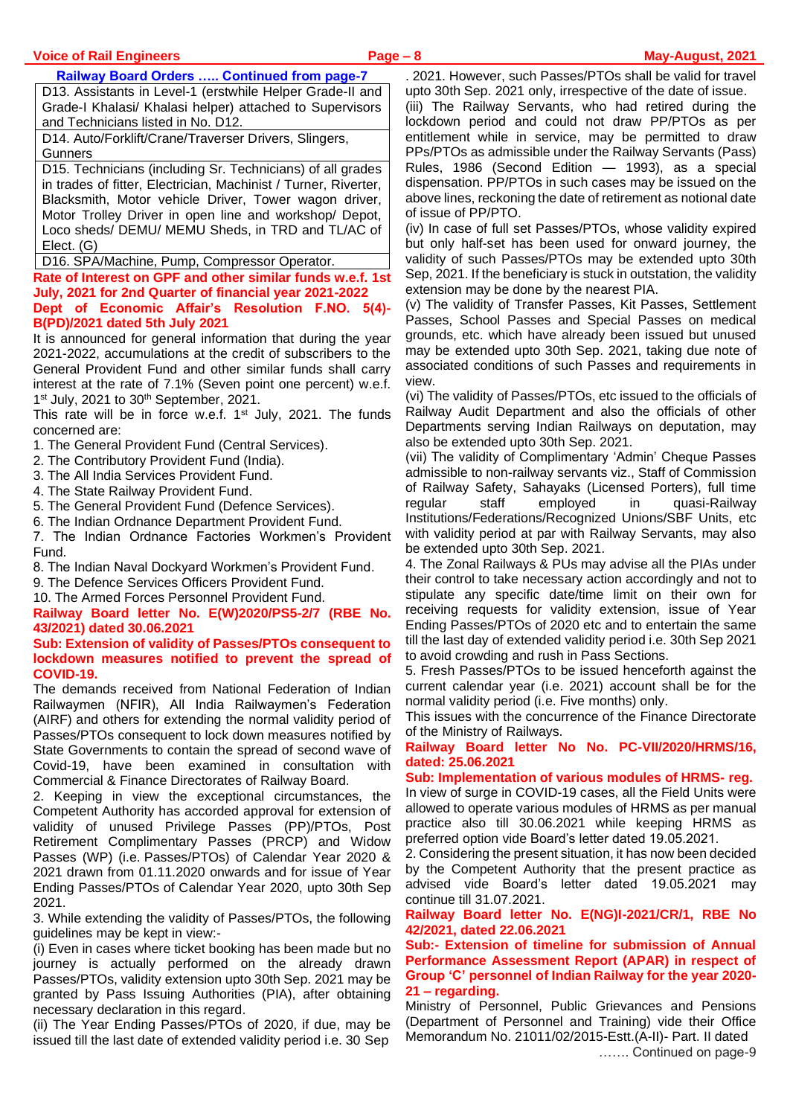#### **Railway Board Orders ….. Continued from page-7**

D13. Assistants in Level-1 (erstwhile Helper Grade-II and Grade-I Khalasi/ Khalasi helper) attached to Supervisors and Technicians listed in No. D12.

D14. Auto/Forklift/Crane/Traverser Drivers, Slingers, **Gunners** 

D15. Technicians (including Sr. Technicians) of all grades in trades of fitter, Electrician, Machinist / Turner, Riverter, Blacksmith, Motor vehicle Driver, Tower wagon driver, Motor Trolley Driver in open line and workshop/ Depot, Loco sheds/ DEMU/ MEMU Sheds, in TRD and TL/AC of Elect. (G)

D16. SPA/Machine, Pump, Compressor Operator.

#### **Rate of Interest on GPF and other similar funds w.e.f. 1st July, 2021 for 2nd Quarter of financial year 2021-2022 Dept of Economic Affair's Resolution F.NO. 5(4)- B(PD)/2021 dated 5th July 2021**

It is announced for general information that during the year 2021-2022, accumulations at the credit of subscribers to the General Provident Fund and other similar funds shall carry interest at the rate of 7.1% (Seven point one percent) w.e.f. 1<sup>st</sup> July, 2021 to 30<sup>th</sup> September, 2021.

This rate will be in force w.e.f. 1<sup>st</sup> July, 2021. The funds concerned are:

- 1. The General Provident Fund (Central Services).
- 2. The Contributory Provident Fund (India).
- 3. The All India Services Provident Fund.
- 4. The State Railway Provident Fund.
- 5. The General Provident Fund (Defence Services).
- 6. The Indian Ordnance Department Provident Fund.
- 7. The Indian Ordnance Factories Workmen's Provident Fund.
- 8. The Indian Naval Dockyard Workmen's Provident Fund.
- 9. The Defence Services Officers Provident Fund.
- 10. The Armed Forces Personnel Provident Fund.

**Railway Board letter No. E(W)2020/PS5-2/7 (RBE No. 43/2021) dated 30.06.2021**

**Sub: Extension of validity of Passes/PTOs consequent to lockdown measures notified to prevent the spread of COVID-19.**

The demands received from National Federation of Indian Railwaymen (NFIR), All India Railwaymen's Federation (AIRF) and others for extending the normal validity period of Passes/PTOs consequent to lock down measures notified by State Governments to contain the spread of second wave of Covid-19, have been examined in consultation with Commercial & Finance Directorates of Railway Board.

2. Keeping in view the exceptional circumstances, the Competent Authority has accorded approval for extension of validity of unused Privilege Passes (PP)/PTOs, Post Retirement Complimentary Passes (PRCP) and Widow Passes (WP) (i.e. Passes/PTOs) of Calendar Year 2020 & 2021 drawn from 01.11.2020 onwards and for issue of Year Ending Passes/PTOs of Calendar Year 2020, upto 30th Sep 2021.

3. While extending the validity of Passes/PTOs, the following guidelines may be kept in view:-

(i) Even in cases where ticket booking has been made but no journey is actually performed on the already drawn Passes/PTOs, validity extension upto 30th Sep. 2021 may be granted by Pass Issuing Authorities (PIA), after obtaining necessary declaration in this regard.

(ii) The Year Ending Passes/PTOs of 2020, if due, may be issued till the last date of extended validity period i.e. 30 Sep

. 2021. However, such Passes/PTOs shall be valid for travel upto 30th Sep. 2021 only, irrespective of the date of issue.

(iii) The Railway Servants, who had retired during the lockdown period and could not draw PP/PTOs as per entitlement while in service, may be permitted to draw PPs/PTOs as admissible under the Railway Servants (Pass) Rules, 1986 (Second Edition — 1993), as a special dispensation. PP/PTOs in such cases may be issued on the above lines, reckoning the date of retirement as notional date of issue of PP/PTO.

(iv) In case of full set Passes/PTOs, whose validity expired but only half-set has been used for onward journey, the validity of such Passes/PTOs may be extended upto 30th Sep, 2021. If the beneficiary is stuck in outstation, the validity extension may be done by the nearest PIA.

(v) The validity of Transfer Passes, Kit Passes, Settlement Passes, School Passes and Special Passes on medical grounds, etc. which have already been issued but unused may be extended upto 30th Sep. 2021, taking due note of associated conditions of such Passes and requirements in view.

(vi) The validity of Passes/PTOs, etc issued to the officials of Railway Audit Department and also the officials of other Departments serving Indian Railways on deputation, may also be extended upto 30th Sep. 2021.

(vii) The validity of Complimentary 'Admin' Cheque Passes admissible to non-railway servants viz., Staff of Commission of Railway Safety, Sahayaks (Licensed Porters), full time regular staff employed in quasi-Railway Institutions/Federations/Recognized Unions/SBF Units, etc with validity period at par with Railway Servants, may also be extended upto 30th Sep. 2021.

4. The Zonal Railways & PUs may advise all the PIAs under their control to take necessary action accordingly and not to stipulate any specific date/time limit on their own for receiving requests for validity extension, issue of Year Ending Passes/PTOs of 2020 etc and to entertain the same till the last day of extended validity period i.e. 30th Sep 2021 to avoid crowding and rush in Pass Sections.

5. Fresh Passes/PTOs to be issued henceforth against the current calendar year (i.e. 2021) account shall be for the normal validity period (i.e. Five months) only.

This issues with the concurrence of the Finance Directorate of the Ministry of Railways.

#### **Railway Board letter No No. PC-VII/2020/HRMS/16, dated: 25.06.2021**

#### **Sub: Implementation of various modules of HRMS- reg.**

In view of surge in COVID-19 cases, all the Field Units were allowed to operate various modules of HRMS as per manual practice also till 30.06.2021 while keeping HRMS as preferred option vide Board's letter dated 19.05.2021.

2. Considering the present situation, it has now been decided by the Competent Authority that the present practice as advised vide Board's letter dated 19.05.2021 may continue till 31.07.2021.

#### **Railway Board letter No. E(NG)I-2021/CR/1, RBE No 42/2021, dated 22.06.2021**

**Sub:- Extension of timeline for submission of Annual Performance Assessment Report (APAR) in respect of Group 'C' personnel of Indian Railway for the year 2020- 21 – regarding.**

Ministry of Personnel, Public Grievances and Pensions (Department of Personnel and Training) vide their Office Memorandum No. 21011/02/2015-Estt.(A-II)- Part. II dated ……. Continued on page-9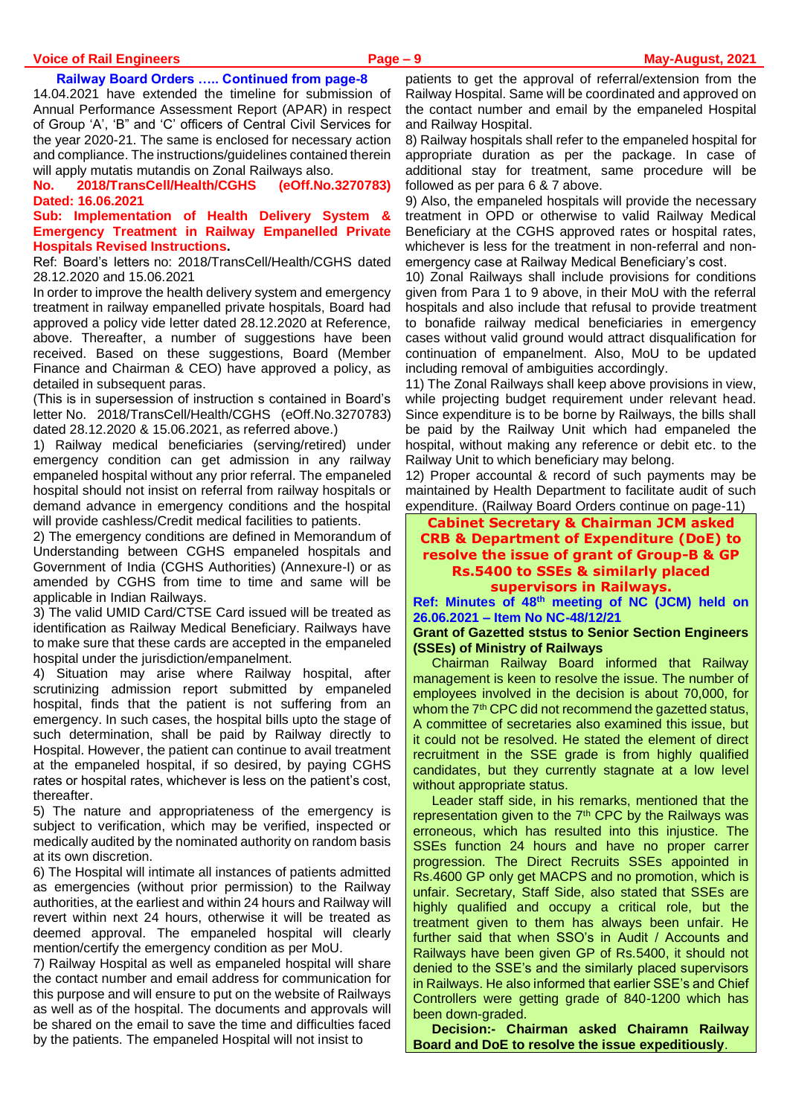#### **Voice of Rail Engineers Page – 9 May-August, 2021**

#### **Railway Board Orders ….. Continued from page-8**

14.04.2021 have extended the timeline for submission of Annual Performance Assessment Report (APAR) in respect of Group 'A', 'B" and 'C' officers of Central Civil Services for the year 2020-21. The same is enclosed for necessary action and compliance. The instructions/guidelines contained therein will apply mutatis mutandis on Zonal Railways also.

**No. 2018/TransCell/Health/CGHS (eOff.No.3270783) Dated: 16.06.2021**

**Sub: Implementation of Health Delivery System & Emergency Treatment in Railway Empanelled Private Hospitals Revised Instructions.**

Ref: Board's letters no: 2018/TransCell/Health/CGHS dated 28.12.2020 and 15.06.2021

In order to improve the health delivery system and emergency treatment in railway empanelled private hospitals, Board had approved a policy vide letter dated 28.12.2020 at Reference, above. Thereafter, a number of suggestions have been received. Based on these suggestions, Board (Member Finance and Chairman & CEO) have approved a policy, as detailed in subsequent paras.

(This is in supersession of instruction s contained in Board's letter No. 2018/TransCell/Health/CGHS (eOff.No.3270783) dated 28.12.2020 & 15.06.2021, as referred above.)

1) Railway medical beneficiaries (serving/retired) under emergency condition can get admission in any railway empaneled hospital without any prior referral. The empaneled hospital should not insist on referral from railway hospitals or demand advance in emergency conditions and the hospital will provide cashless/Credit medical facilities to patients.

2) The emergency conditions are defined in Memorandum of Understanding between CGHS empaneled hospitals and Government of India (CGHS Authorities) (Annexure-I) or as amended by CGHS from time to time and same will be applicable in Indian Railways.

3) The valid UMID Card/CTSE Card issued will be treated as identification as Railway Medical Beneficiary. Railways have to make sure that these cards are accepted in the empaneled hospital under the jurisdiction/empanelment.

4) Situation may arise where Railway hospital, after scrutinizing admission report submitted by empaneled hospital, finds that the patient is not suffering from an emergency. In such cases, the hospital bills upto the stage of such determination, shall be paid by Railway directly to Hospital. However, the patient can continue to avail treatment at the empaneled hospital, if so desired, by paying CGHS rates or hospital rates, whichever is less on the patient's cost, thereafter.

5) The nature and appropriateness of the emergency is subject to verification, which may be verified, inspected or medically audited by the nominated authority on random basis at its own discretion.

6) The Hospital will intimate all instances of patients admitted as emergencies (without prior permission) to the Railway authorities, at the earliest and within 24 hours and Railway will revert within next 24 hours, otherwise it will be treated as deemed approval. The empaneled hospital will clearly mention/certify the emergency condition as per MoU.

7) Railway Hospital as well as empaneled hospital will share the contact number and email address for communication for this purpose and will ensure to put on the website of Railways as well as of the hospital. The documents and approvals will be shared on the email to save the time and difficulties faced by the patients. The empaneled Hospital will not insist to

patients to get the approval of referral/extension from the Railway Hospital. Same will be coordinated and approved on the contact number and email by the empaneled Hospital and Railway Hospital.

8) Railway hospitals shall refer to the empaneled hospital for appropriate duration as per the package. In case of additional stay for treatment, same procedure will be followed as per para 6 & 7 above.

9) Also, the empaneled hospitals will provide the necessary treatment in OPD or otherwise to valid Railway Medical Beneficiary at the CGHS approved rates or hospital rates, whichever is less for the treatment in non-referral and nonemergency case at Railway Medical Beneficiary's cost.

10) Zonal Railways shall include provisions for conditions given from Para 1 to 9 above, in their MoU with the referral hospitals and also include that refusal to provide treatment to bonafide railway medical beneficiaries in emergency cases without valid ground would attract disqualification for continuation of empanelment. Also, MoU to be updated including removal of ambiguities accordingly.

11) The Zonal Railways shall keep above provisions in view, while projecting budget requirement under relevant head. Since expenditure is to be borne by Railways, the bills shall be paid by the Railway Unit which had empaneled the hospital, without making any reference or debit etc. to the Railway Unit to which beneficiary may belong.

12) Proper accountal & record of such payments may be maintained by Health Department to facilitate audit of such expenditure. (Railway Board Orders continue on page-11)

#### **Cabinet Secretary & Chairman JCM asked CRB & Department of Expenditure (DoE) to resolve the issue of grant of Group-B & GP Rs.5400 to SSEs & similarly placed supervisors in Railways.**

**Ref: Minutes of 48th meeting of NC (JCM) held on 26.06.2021 – Item No NC-48/12/21**

#### **Grant of Gazetted ststus to Senior Section Engineers (SSEs) of Ministry of Railways**

Chairman Railway Board informed that Railway management is keen to resolve the issue. The number of employees involved in the decision is about 70,000, for whom the 7<sup>th</sup> CPC did not recommend the gazetted status, A committee of secretaries also examined this issue, but it could not be resolved. He stated the element of direct recruitment in the SSE grade is from highly qualified candidates, but they currently stagnate at a low level without appropriate status.

Leader staff side, in his remarks, mentioned that the representation given to the 7<sup>th</sup> CPC by the Railways was erroneous, which has resulted into this injustice. The SSEs function 24 hours and have no proper carrer progression. The Direct Recruits SSEs appointed in Rs.4600 GP only get MACPS and no promotion, which is unfair. Secretary, Staff Side, also stated that SSEs are highly qualified and occupy a critical role, but the treatment given to them has always been unfair. He further said that when SSO's in Audit / Accounts and Railways have been given GP of Rs.5400, it should not denied to the SSE's and the similarly placed supervisors in Railways. He also informed that earlier SSE's and Chief Controllers were getting grade of 840-1200 which has been down-graded.

**Decision:- Chairman asked Chairamn Railway Board and DoE to resolve the issue expeditiously**.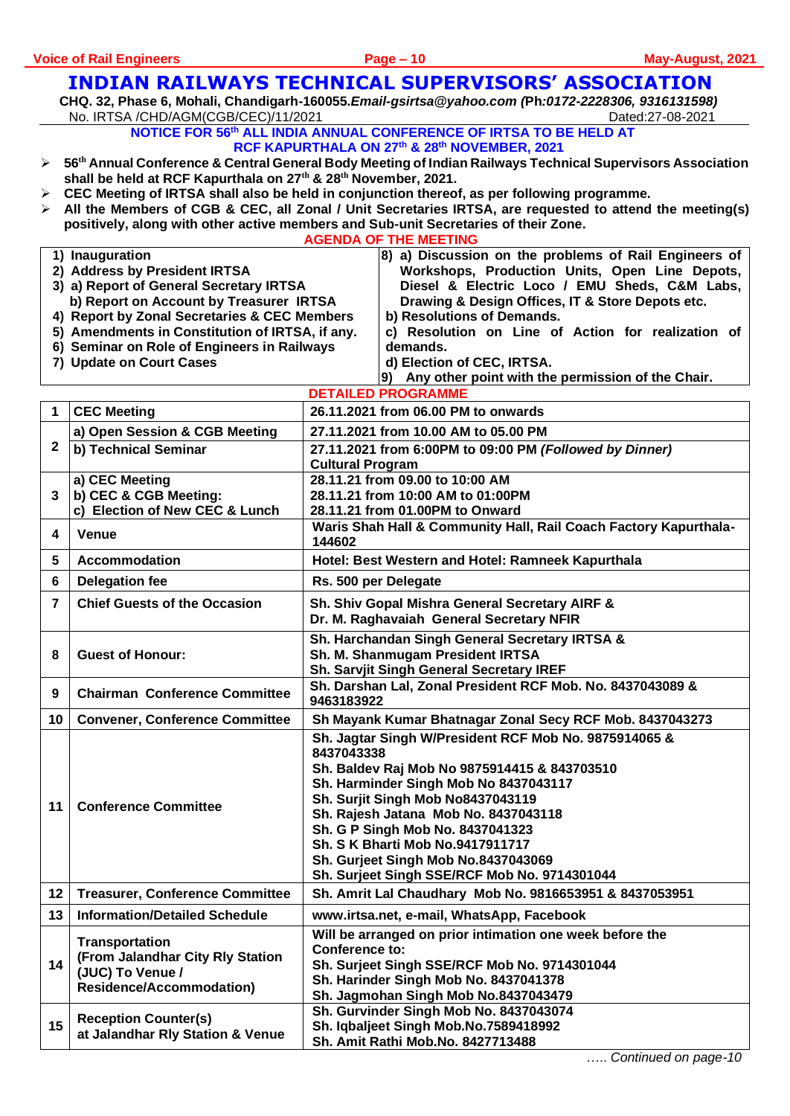# **INDIAN RAILWAYS TECHNICAL SUPERVISORS' ASSOCIATION**

**CHQ. 32, Phase 6, Mohali, Chandigarh-160055.***Email-gsirtsa@yahoo.com (***Ph***:0172-2228306, 9316131598)* No. IRTSA /CHD/AGM(CGB/CEC)/11/2021 Dated:27-08-2021

> **NOTICE FOR 56 th ALL INDIA ANNUAL CONFERENCE OF IRTSA TO BE HELD AT RCF KAPURTHALA ON 27th & 28th NOVEMBER, 2021**

- ➢ **56 th Annual Conference & Central General Body Meeting of Indian Railways Technical Supervisors Association shall be held at RCF Kapurthala on 27th & 28th November, 2021.**
- ➢ **CEC Meeting of IRTSA shall also be held in conjunction thereof, as per following programme.**
- ➢ **All the Members of CGB & CEC, all Zonal / Unit Secretaries IRTSA, are requested to attend the meeting(s) positively, along with other active members and Sub-unit Secretaries of their Zone.**

| <b>AGENDA OF THE MEETING</b>            |                                                                         |                                                                            |                                                                                 |  |  |  |  |  |
|-----------------------------------------|-------------------------------------------------------------------------|----------------------------------------------------------------------------|---------------------------------------------------------------------------------|--|--|--|--|--|
|                                         | 1) Inauguration                                                         |                                                                            | 8) a) Discussion on the problems of Rail Engineers of                           |  |  |  |  |  |
| 2) Address by President IRTSA           |                                                                         |                                                                            | Workshops, Production Units, Open Line Depots,                                  |  |  |  |  |  |
| 3) a) Report of General Secretary IRTSA |                                                                         |                                                                            | Diesel & Electric Loco / EMU Sheds, C&M Labs,                                   |  |  |  |  |  |
| b) Report on Account by Treasurer IRTSA |                                                                         |                                                                            | Drawing & Design Offices, IT & Store Depots etc.                                |  |  |  |  |  |
|                                         | 4) Report by Zonal Secretaries & CEC Members                            |                                                                            | b) Resolutions of Demands.                                                      |  |  |  |  |  |
|                                         | 5) Amendments in Constitution of IRTSA, if any.                         |                                                                            | c) Resolution on Line of Action for realization of                              |  |  |  |  |  |
|                                         | 6) Seminar on Role of Engineers in Railways<br>7) Update on Court Cases |                                                                            | demands.                                                                        |  |  |  |  |  |
|                                         |                                                                         |                                                                            | d) Election of CEC, IRTSA.<br>Any other point with the permission of the Chair. |  |  |  |  |  |
|                                         | <b>DETAILED PROGRAMME</b>                                               |                                                                            |                                                                                 |  |  |  |  |  |
| 1                                       | <b>CEC Meeting</b>                                                      | 26.11.2021 from 06.00 PM to onwards                                        |                                                                                 |  |  |  |  |  |
|                                         | a) Open Session & CGB Meeting                                           | 27.11.2021 from 10.00 AM to 05.00 PM                                       |                                                                                 |  |  |  |  |  |
| $\mathbf{2}$                            | b) Technical Seminar                                                    | 27.11.2021 from 6:00PM to 09:00 PM (Followed by Dinner)                    |                                                                                 |  |  |  |  |  |
|                                         |                                                                         | <b>Cultural Program</b>                                                    |                                                                                 |  |  |  |  |  |
|                                         | a) CEC Meeting                                                          | 28.11.21 from 09.00 to 10:00 AM                                            |                                                                                 |  |  |  |  |  |
| 3                                       | b) CEC & CGB Meeting:                                                   |                                                                            | 28.11.21 from 10:00 AM to 01:00PM                                               |  |  |  |  |  |
|                                         | c) Election of New CEC & Lunch                                          |                                                                            | 28.11.21 from 01.00PM to Onward                                                 |  |  |  |  |  |
| 4                                       | <b>Venue</b>                                                            | Waris Shah Hall & Community Hall, Rail Coach Factory Kapurthala-<br>144602 |                                                                                 |  |  |  |  |  |
| 5                                       | <b>Accommodation</b>                                                    | Hotel: Best Western and Hotel: Ramneek Kapurthala                          |                                                                                 |  |  |  |  |  |
| 6                                       | <b>Delegation fee</b>                                                   | Rs. 500 per Delegate                                                       |                                                                                 |  |  |  |  |  |
| $\overline{7}$                          | <b>Chief Guests of the Occasion</b>                                     | Sh. Shiv Gopal Mishra General Secretary AIRF &                             |                                                                                 |  |  |  |  |  |
|                                         |                                                                         | Dr. M. Raghavaiah General Secretary NFIR                                   |                                                                                 |  |  |  |  |  |
|                                         | <b>Guest of Honour:</b>                                                 |                                                                            | Sh. Harchandan Singh General Secretary IRTSA &                                  |  |  |  |  |  |
| 8                                       |                                                                         | Sh. M. Shanmugam President IRTSA                                           |                                                                                 |  |  |  |  |  |
|                                         |                                                                         | Sh. Sarvjit Singh General Secretary IREF                                   |                                                                                 |  |  |  |  |  |
| 9                                       | <b>Chairman Conference Committee</b>                                    | Sh. Darshan Lal, Zonal President RCF Mob. No. 8437043089 &<br>9463183922   |                                                                                 |  |  |  |  |  |
| 10                                      | <b>Convener, Conference Committee</b>                                   | Sh Mayank Kumar Bhatnagar Zonal Secy RCF Mob. 8437043273                   |                                                                                 |  |  |  |  |  |
|                                         | <b>Conference Committee</b>                                             |                                                                            | Sh. Jagtar Singh W/President RCF Mob No. 9875914065 &                           |  |  |  |  |  |
|                                         |                                                                         | 8437043338                                                                 |                                                                                 |  |  |  |  |  |
|                                         |                                                                         | Sh. Baldev Raj Mob No 9875914415 & 843703510                               |                                                                                 |  |  |  |  |  |
|                                         |                                                                         | Sh. Harminder Singh Mob No 8437043117                                      |                                                                                 |  |  |  |  |  |
| 11                                      |                                                                         | Sh. Surjit Singh Mob No8437043119                                          |                                                                                 |  |  |  |  |  |
|                                         |                                                                         | Sh. Rajesh Jatana Mob No. 8437043118<br>Sh. G P Singh Mob No. 8437041323   |                                                                                 |  |  |  |  |  |
|                                         |                                                                         | Sh. S K Bharti Mob No.9417911717                                           |                                                                                 |  |  |  |  |  |
|                                         |                                                                         |                                                                            | Sh. Gurjeet Singh Mob No.8437043069                                             |  |  |  |  |  |
|                                         |                                                                         | Sh. Surjeet Singh SSE/RCF Mob No. 9714301044                               |                                                                                 |  |  |  |  |  |
| 12                                      | <b>Treasurer, Conference Committee</b>                                  | Sh. Amrit Lal Chaudhary Mob No. 9816653951 & 8437053951                    |                                                                                 |  |  |  |  |  |
| 13                                      | <b>Information/Detailed Schedule</b>                                    |                                                                            | www.irtsa.net, e-mail, WhatsApp, Facebook                                       |  |  |  |  |  |
|                                         | Transportation<br>(From Jalandhar City Rly Station                      |                                                                            | Will be arranged on prior intimation one week before the                        |  |  |  |  |  |
|                                         |                                                                         | <b>Conference to:</b>                                                      |                                                                                 |  |  |  |  |  |
| 14                                      | (JUC) To Venue /                                                        | Sh. Surjeet Singh SSE/RCF Mob No. 9714301044                               |                                                                                 |  |  |  |  |  |
|                                         | <b>Residence/Accommodation)</b>                                         | Sh. Harinder Singh Mob No. 8437041378                                      |                                                                                 |  |  |  |  |  |
|                                         |                                                                         |                                                                            | Sh. Jagmohan Singh Mob No.8437043479                                            |  |  |  |  |  |
|                                         | <b>Reception Counter(s)</b>                                             |                                                                            | Sh. Gurvinder Singh Mob No. 8437043074                                          |  |  |  |  |  |
| 15                                      | at Jalandhar Rly Station & Venue                                        |                                                                            | Sh. Iqbaljeet Singh Mob.No.7589418992                                           |  |  |  |  |  |
|                                         |                                                                         |                                                                            | Sh. Amit Rathi Mob.No. 8427713488                                               |  |  |  |  |  |

….. *Continued on page-10*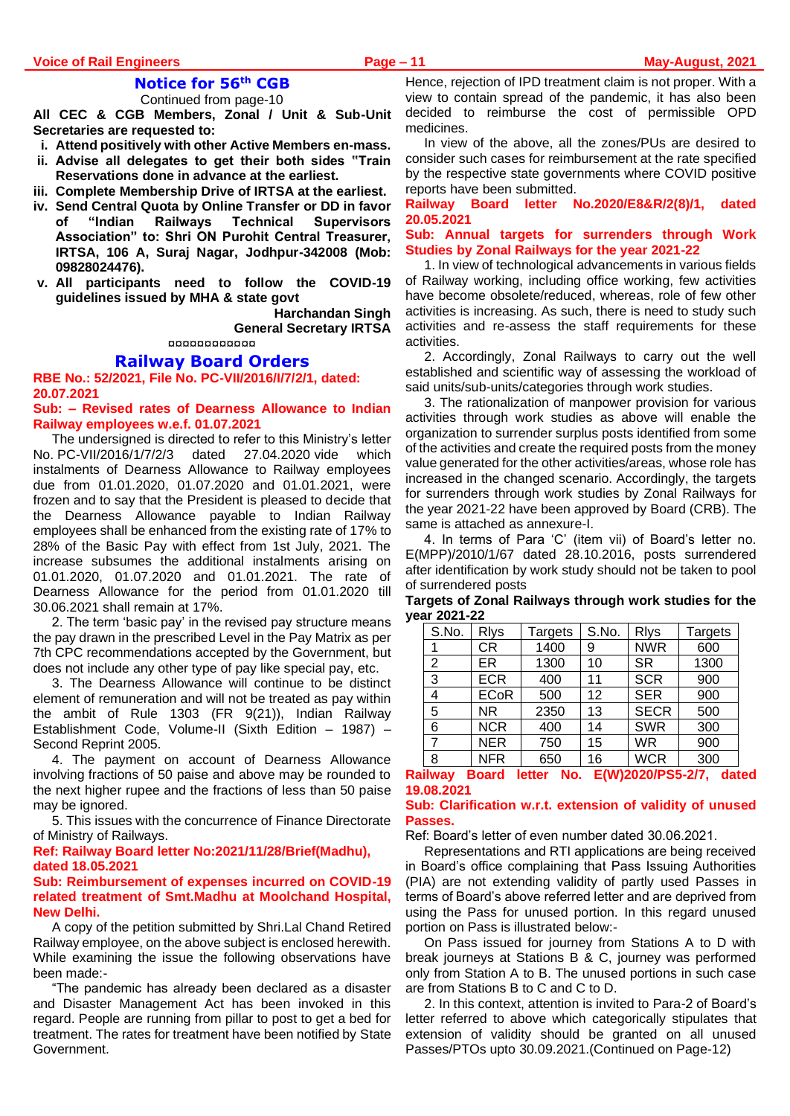## **Notice for 56th CGB**

Continued from page-10

**All CEC & CGB Members, Zonal / Unit & Sub-Unit Secretaries are requested to:**

- **i. Attend positively with other Active Members en-mass.**
- **ii. Advise all delegates to get their both sides "Train Reservations done in advance at the earliest.**
- **iii. Complete Membership Drive of IRTSA at the earliest.**
- **iv. Send Central Quota by Online Transfer or DD in favor of "Indian Railways Technical Supervisors Association" to: Shri ON Purohit Central Treasurer, IRTSA, 106 A, Suraj Nagar, Jodhpur-342008 (Mob: 09828024476).**
- **v. All participants need to follow the COVID-19 guidelines issued by MHA & state govt**

**Harchandan Singh General Secretary IRTSA**

¤¤¤¤¤¤¤¤¤¤¤¤

#### **Railway Board Orders**

**RBE No.: 52/2021, File No. PC-VII/2016/I/7/2/1, dated: 20.07.2021**

**Sub: – Revised rates of Dearness Allowance to Indian Railway employees w.e.f. 01.07.2021**

The undersigned is directed to refer to this Ministry's letter No. PC-VII/2016/1/7/2/3 dated 27.04.2020 vide which instalments of Dearness Allowance to Railway employees due from 01.01.2020, 01.07.2020 and 01.01.2021, were frozen and to say that the President is pleased to decide that the Dearness Allowance payable to Indian Railway employees shall be enhanced from the existing rate of 17% to 28% of the Basic Pay with effect from 1st July, 2021. The increase subsumes the additional instalments arising on 01.01.2020, 01.07.2020 and 01.01.2021. The rate of Dearness Allowance for the period from 01.01.2020 till 30.06.2021 shall remain at 17%.

2. The term 'basic pay' in the revised pay structure means the pay drawn in the prescribed Level in the Pay Matrix as per 7th CPC recommendations accepted by the Government, but does not include any other type of pay like special pay, etc.

3. The Dearness Allowance will continue to be distinct element of remuneration and will not be treated as pay within the ambit of Rule 1303 (FR 9(21)), Indian Railway Establishment Code, Volume-II (Sixth Edition – 1987) – Second Reprint 2005.

4. The payment on account of Dearness Allowance involving fractions of 50 paise and above may be rounded to the next higher rupee and the fractions of less than 50 paise may be ignored.

5. This issues with the concurrence of Finance Directorate of Ministry of Railways.

#### **Ref: Railway Board letter No:2021/11/28/Brief(Madhu), dated 18.05.2021**

#### **Sub: Reimbursement of expenses incurred on COVID-19 related treatment of Smt.Madhu at Moolchand Hospital, New Delhi.**

A copy of the petition submitted by Shri.Lal Chand Retired Railway employee, on the above subject is enclosed herewith. While examining the issue the following observations have been made:-

"The pandemic has already been declared as a disaster and Disaster Management Act has been invoked in this regard. People are running from pillar to post to get a bed for treatment. The rates for treatment have been notified by State Government.

Hence, rejection of IPD treatment claim is not proper. With a view to contain spread of the pandemic, it has also been decided to reimburse the cost of permissible OPD medicines.

In view of the above, all the zones/PUs are desired to consider such cases for reimbursement at the rate specified by the respective state governments where COVID positive reports have been submitted.

#### **Railway Board letter No.2020/E8&R/2(8)/1, dated 20.05.2021**

#### **Sub: Annual targets for surrenders through Work Studies by Zonal Railways for the year 2021-22**

1. In view of technological advancements in various fields of Railway working, including office working, few activities have become obsolete/reduced, whereas, role of few other activities is increasing. As such, there is need to study such activities and re-assess the staff requirements for these activities.

2. Accordingly, Zonal Railways to carry out the well established and scientific way of assessing the workload of said units/sub-units/categories through work studies.

3. The rationalization of manpower provision for various activities through work studies as above will enable the organization to surrender surplus posts identified from some of the activities and create the required posts from the money value generated for the other activities/areas, whose role has increased in the changed scenario. Accordingly, the targets for surrenders through work studies by Zonal Railways for the year 2021-22 have been approved by Board (CRB). The same is attached as annexure-I.

4. In terms of Para 'C' (item vii) of Board's letter no. E(MPP)/2010/1/67 dated 28.10.2016, posts surrendered after identification by work study should not be taken to pool of surrendered posts

**Targets of Zonal Railways through work studies for the year 2021-22**

| S.No. | <b>R</b> lys | Targets | S.No. | <b>R</b> lys | <b>Targets</b> |
|-------|--------------|---------|-------|--------------|----------------|
|       | СR           | 1400    | 9     | <b>NWR</b>   | 600            |
| 2     | ER           | 1300    | 10    | <b>SR</b>    | 1300           |
| 3     | <b>ECR</b>   | 400     | 11    | <b>SCR</b>   | 900            |
| 4     | <b>ECoR</b>  | 500     | 12    | <b>SER</b>   | 900            |
| 5     | <b>NR</b>    | 2350    | 13    | <b>SECR</b>  | 500            |
| 6     | <b>NCR</b>   | 400     | 14    | <b>SWR</b>   | 300            |
| 7     | <b>NER</b>   | 750     | 15    | <b>WR</b>    | 900            |
| 8     | <b>NFR</b>   | 650     | 16    | <b>WCR</b>   | 300            |

## **Railway Board letter No. E(W)2020/PS5-2/7, dated 19.08.2021**

#### **Sub: Clarification w.r.t. extension of validity of unused Passes.**

Ref: Board's letter of even number dated 30.06.2021.

Representations and RTI applications are being received in Board's office complaining that Pass Issuing Authorities (PIA) are not extending validity of partly used Passes in terms of Board's above referred letter and are deprived from using the Pass for unused portion. In this regard unused portion on Pass is illustrated below:-

On Pass issued for journey from Stations A to D with break journeys at Stations B & C, journey was performed only from Station A to B. The unused portions in such case are from Stations B to C and C to D.

2. In this context, attention is invited to Para-2 of Board's letter referred to above which categorically stipulates that extension of validity should be granted on all unused Passes/PTOs upto 30.09.2021.(Continued on Page-12)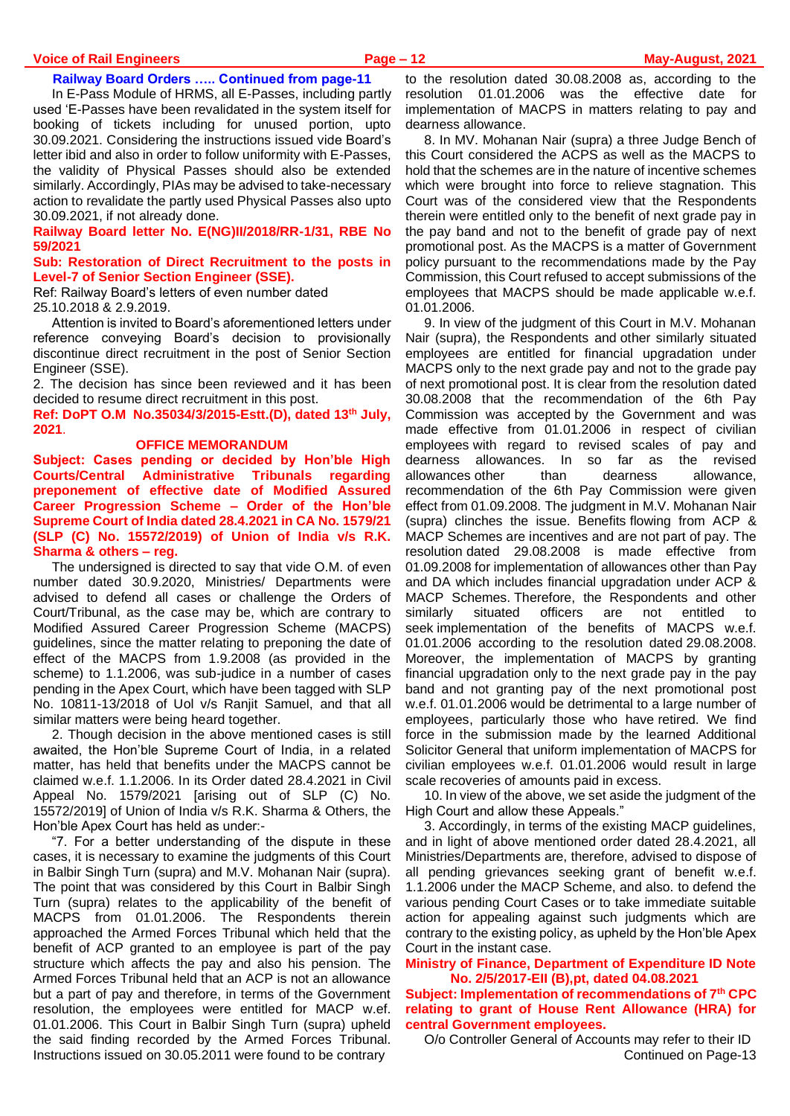#### **Voice of Rail Engineers Page – 12 May-August, 2021**

#### **Railway Board Orders ….. Continued from page-11**

In E-Pass Module of HRMS, all E-Passes, including partly used 'E-Passes have been revalidated in the system itself for booking of tickets including for unused portion, upto 30.09.2021. Considering the instructions issued vide Board's letter ibid and also in order to follow uniformity with E-Passes, the validity of Physical Passes should also be extended similarly. Accordingly, PIAs may be advised to take-necessary action to revalidate the partly used Physical Passes also upto 30.09.2021, if not already done.

#### **Railway Board letter No. E(NG)II/2018/RR-1/31, RBE No 59/2021**

#### **Sub: Restoration of Direct Recruitment to the posts in Level-7 of Senior Section Engineer (SSE).**

Ref: Railway Board's letters of even number dated 25.10.2018 & 2.9.2019.

Attention is invited to Board's aforementioned letters under reference conveying Board's decision to provisionally discontinue direct recruitment in the post of Senior Section Engineer (SSE).

2. The decision has since been reviewed and it has been decided to resume direct recruitment in this post.

**Ref: DoPT O.M No.35034/3/2015-Estt.(D), dated 13th July, 2021**.

#### **OFFICE MEMORANDUM**

**Subject: Cases pending or decided by Hon'ble High Courts/Central Administrative Tribunals regarding preponement of effective date of Modified Assured Career Progression Scheme – Order of the Hon'ble Supreme Court of India dated 28.4.2021 in CA No. 1579/21 (SLP (C) No. 15572/2019) of Union of India v/s R.K. Sharma & others – reg.**

The undersigned is directed to say that vide O.M. of even number dated 30.9.2020, Ministries/ Departments were advised to defend all cases or challenge the Orders of Court/Tribunal, as the case may be, which are contrary to Modified Assured Career Progression Scheme (MACPS) guidelines, since the matter relating to preponing the date of effect of the MACPS from 1.9.2008 (as provided in the scheme) to 1.1.2006, was sub-judice in a number of cases pending in the Apex Court, which have been tagged with SLP No. 10811-13/2018 of Uol v/s Ranjit Samuel, and that all similar matters were being heard together.

2. Though decision in the above mentioned cases is still awaited, the Hon'ble Supreme Court of India, in a related matter, has held that benefits under the MACPS cannot be claimed w.e.f. 1.1.2006. In its Order dated 28.4.2021 in Civil Appeal No. 1579/2021 [arising out of SLP (C) No. 15572/2019] of Union of India v/s R.K. Sharma & Others, the Hon'ble Apex Court has held as under:-

"7. For a better understanding of the dispute in these cases, it is necessary to examine the judgments of this Court in Balbir Singh Turn (supra) and M.V. Mohanan Nair (supra). The point that was considered by this Court in Balbir Singh Turn (supra) relates to the applicability of the benefit of MACPS from 01.01.2006. The Respondents therein approached the Armed Forces Tribunal which held that the benefit of ACP granted to an employee is part of the pay structure which affects the pay and also his pension. The Armed Forces Tribunal held that an ACP is not an allowance but a part of pay and therefore, in terms of the Government resolution, the employees were entitled for MACP w.ef. 01.01.2006. This Court in Balbir Singh Turn (supra) upheld the said finding recorded by the Armed Forces Tribunal. Instructions issued on 30.05.2011 were found to be contrary

to the resolution dated 30.08.2008 as, according to the resolution 01.01.2006 was the effective date for implementation of MACPS in matters relating to pay and dearness allowance.

8. In MV. Mohanan Nair (supra) a three Judge Bench of this Court considered the ACPS as well as the MACPS to hold that the schemes are in the nature of incentive schemes which were brought into force to relieve stagnation. This Court was of the considered view that the Respondents therein were entitled only to the benefit of next grade pay in the pay band and not to the benefit of grade pay of next promotional post. As the MACPS is a matter of Government policy pursuant to the recommendations made by the Pay Commission, this Court refused to accept submissions of the employees that MACPS should be made applicable w.e.f. 01.01.2006.

9. In view of the judgment of this Court in M.V. Mohanan Nair (supra), the Respondents and other similarly situated employees are entitled for financial upgradation under MACPS only to the next grade pay and not to the grade pay of next promotional post. It is clear from the resolution dated 30.08.2008 that the recommendation of the 6th Pay Commission was accepted by the Government and was made effective from 01.01.2006 in respect of civilian employees with regard to revised scales of pay and dearness allowances. In so far as the revised allowances other than dearness allowance, recommendation of the 6th Pay Commission were given effect from 01.09.2008. The judgment in M.V. Mohanan Nair (supra) clinches the issue. Benefits flowing from ACP & MACP Schemes are incentives and are not part of pay. The resolution dated 29.08.2008 is made effective from 01.09.2008 for implementation of allowances other than Pay and DA which includes financial upgradation under ACP & MACP Schemes. Therefore, the Respondents and other similarly situated officers are not entitled to seek implementation of the benefits of MACPS w.e.f. 01.01.2006 according to the resolution dated 29.08.2008. Moreover, the implementation of MACPS by granting financial upgradation only to the next grade pay in the pay band and not granting pay of the next promotional post w.e.f. 01.01.2006 would be detrimental to a large number of employees, particularly those who have retired. We find force in the submission made by the learned Additional Solicitor General that uniform implementation of MACPS for civilian employees w.e.f. 01.01.2006 would result in large scale recoveries of amounts paid in excess.

10. In view of the above, we set aside the judgment of the High Court and allow these Appeals."

3. Accordingly, in terms of the existing MACP guidelines, and in light of above mentioned order dated 28.4.2021, all Ministries/Departments are, therefore, advised to dispose of all pending grievances seeking grant of benefit w.e.f. 1.1.2006 under the MACP Scheme, and also. to defend the various pending Court Cases or to take immediate suitable action for appealing against such judgments which are contrary to the existing policy, as upheld by the Hon'ble Apex Court in the instant case.

**Ministry of Finance, Department of Expenditure ID Note No. 2/5/2017-EII (B),pt, dated 04.08.2021**

**Subject: Implementation of recommendations of 7th CPC relating to grant of House Rent Allowance (HRA) for central Government employees.** 

O/o Controller General of Accounts may refer to their ID Continued on Page-13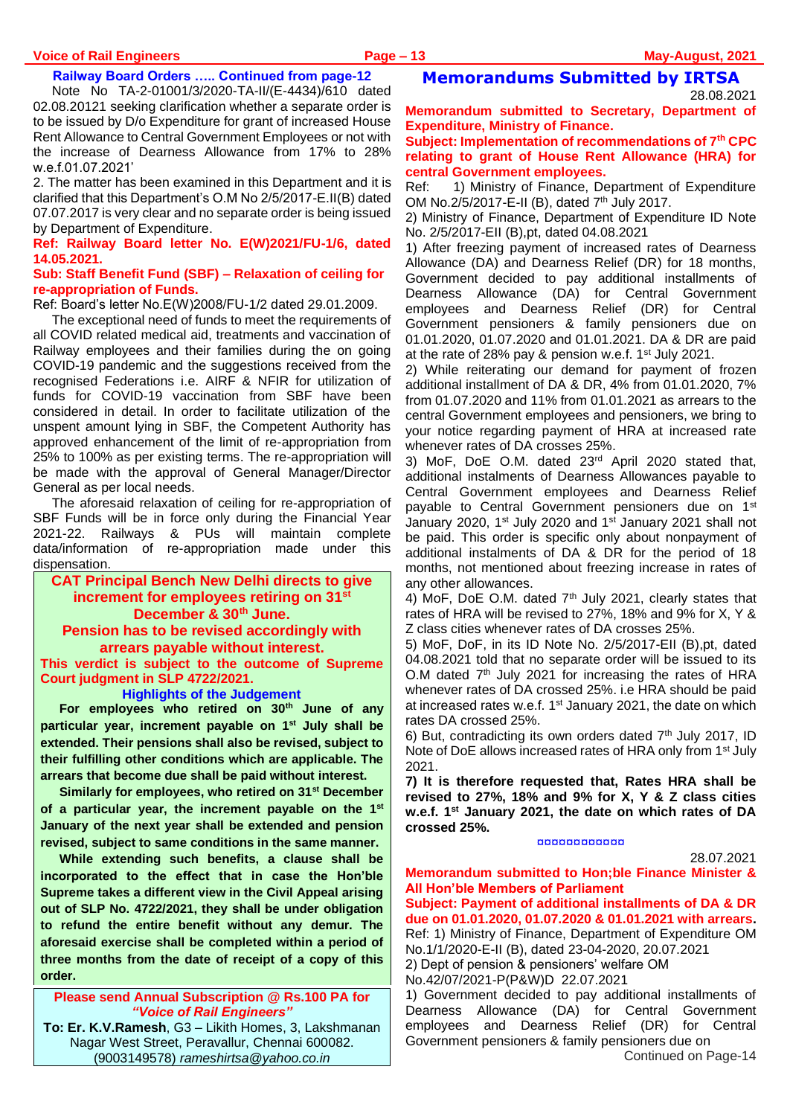#### **Railway Board Orders ….. Continued from page-12**

Note No TA-2-01001/3/2020-TA-II/(E-4434)/610 dated 02.08.20121 seeking clarification whether a separate order is to be issued by D/o Expenditure for grant of increased House Rent Allowance to Central Government Employees or not with the increase of Dearness Allowance from 17% to 28% w.e.f.01.07.2021'

2. The matter has been examined in this Department and it is clarified that this Department's O.M No 2/5/2017-E.II(B) dated 07.07.2017 is very clear and no separate order is being issued by Department of Expenditure.

#### **Ref: Railway Board letter No. E(W)2021/FU-1/6, dated 14.05.2021.**

#### **Sub: Staff Benefit Fund (SBF) – Relaxation of ceiling for re-appropriation of Funds.**

Ref: Board's letter No.E(W)2008/FU-1/2 dated 29.01.2009.

The exceptional need of funds to meet the requirements of all COVID related medical aid, treatments and vaccination of Railway employees and their families during the on going COVID-19 pandemic and the suggestions received from the recognised Federations i.e. AIRF & NFIR for utilization of funds for COVID-19 vaccination from SBF have been considered in detail. In order to facilitate utilization of the unspent amount lying in SBF, the Competent Authority has approved enhancement of the limit of re-appropriation from 25% to 100% as per existing terms. The re-appropriation will be made with the approval of General Manager/Director General as per local needs.

The aforesaid relaxation of ceiling for re-appropriation of SBF Funds will be in force only during the Financial Year 2021-22. Railways & PUs will maintain complete data/information of re-appropriation made under this dispensation.

#### **CAT Principal Bench New Delhi directs to give increment for employees retiring on 31st December & 30th June. Pension has to be revised accordingly with arrears payable without interest.**

**This verdict is subject to the outcome of Supreme Court judgment in SLP 4722/2021.**

**Highlights of the Judgement**

**For employees who retired on 30th June of any particular year, increment payable on 1 st July shall be extended. Their pensions shall also be revised, subject to their fulfilling other conditions which are applicable. The arrears that become due shall be paid without interest.**

**Similarly for employees, who retired on 31st December of a particular year, the increment payable on the 1st January of the next year shall be extended and pension revised, subject to same conditions in the same manner.**

**While extending such benefits, a clause shall be incorporated to the effect that in case the Hon'ble Supreme takes a different view in the Civil Appeal arising out of SLP No. 4722/2021, they shall be under obligation to refund the entire benefit without any demur. The aforesaid exercise shall be completed within a period of three months from the date of receipt of a copy of this order.**

**Please send Annual Subscription @ Rs.100 PA for**  *"Voice of Rail Engineers"*

**To: Er. K.V.Ramesh**, G3 – Likith Homes, 3, Lakshmanan Nagar West Street, Peravallur, Chennai 600082. (9003149578) *[rameshirtsa@yahoo.co.in](mailto:rameshirtsa@yahoo.co.in)*

## **Memorandums Submitted by IRTSA**

28.08.2021

**Memorandum submitted to Secretary, Department of Expenditure, Ministry of Finance.**

#### **Subject: Implementation of recommendations of 7th CPC relating to grant of House Rent Allowance (HRA) for central Government employees.**

Ref: 1) Ministry of Finance, Department of Expenditure OM No.2/5/2017-E-II (B), dated 7<sup>th</sup> July 2017.

2) Ministry of Finance, Department of Expenditure ID Note No. 2/5/2017-EII (B),pt, dated 04.08.2021

1) After freezing payment of increased rates of Dearness Allowance (DA) and Dearness Relief (DR) for 18 months, Government decided to pay additional installments of Dearness Allowance (DA) for Central Government employees and Dearness Relief (DR) for Central Government pensioners & family pensioners due on 01.01.2020, 01.07.2020 and 01.01.2021. DA & DR are paid at the rate of 28% pay & pension w.e.f. 1st July 2021.

2) While reiterating our demand for payment of frozen additional installment of DA & DR, 4% from 01.01.2020, 7% from 01.07.2020 and 11% from 01.01.2021 as arrears to the central Government employees and pensioners, we bring to your notice regarding payment of HRA at increased rate whenever rates of DA crosses 25%.

3) MoF, DoE O.M. dated 23rd April 2020 stated that, additional instalments of Dearness Allowances payable to Central Government employees and Dearness Relief payable to Central Government pensioners due on 1<sup>st</sup> January 2020, 1<sup>st</sup> July 2020 and 1<sup>st</sup> January 2021 shall not be paid. This order is specific only about nonpayment of additional instalments of DA & DR for the period of 18 months, not mentioned about freezing increase in rates of any other allowances.

4) MoF, DoE O.M. dated  $7<sup>th</sup>$  July 2021, clearly states that rates of HRA will be revised to 27%, 18% and 9% for X, Y & Z class cities whenever rates of DA crosses 25%.

5) MoF, DoF, in its ID Note No. 2/5/2017-EII (B),pt, dated 04.08.2021 told that no separate order will be issued to its O.M dated 7<sup>th</sup> July 2021 for increasing the rates of HRA whenever rates of DA crossed 25%. i.e HRA should be paid at increased rates w.e.f. 1<sup>st</sup> January 2021, the date on which rates DA crossed 25%.

6) But, contradicting its own orders dated  $7<sup>th</sup>$  July 2017, ID Note of DoE allows increased rates of HRA only from 1st July 2021.

**7) It is therefore requested that, Rates HRA shall be revised to 27%, 18% and 9% for X, Y & Z class cities w.e.f. 1st January 2021, the date on which rates of DA crossed 25%.**

#### ¤¤¤¤¤¤¤¤¤¤¤¤

28.07.2021

**Memorandum submitted to Hon;ble Finance Minister & All Hon'ble Members of Parliament** 

**Subject: Payment of additional installments of DA & DR due on 01.01.2020, 01.07.2020 & 01.01.2021 with arrears.**  Ref: 1) Ministry of Finance, Department of Expenditure OM No.1/1/2020-E-II (B), dated 23-04-2020, 20.07.2021 2) Dept of pension & pensioners' welfare OM

No.42/07/2021-P(P&W)D 22.07.2021

1) Government decided to pay additional installments of Dearness Allowance (DA) for Central Government employees and Dearness Relief (DR) for Central Government pensioners & family pensioners due on Continued on Page-14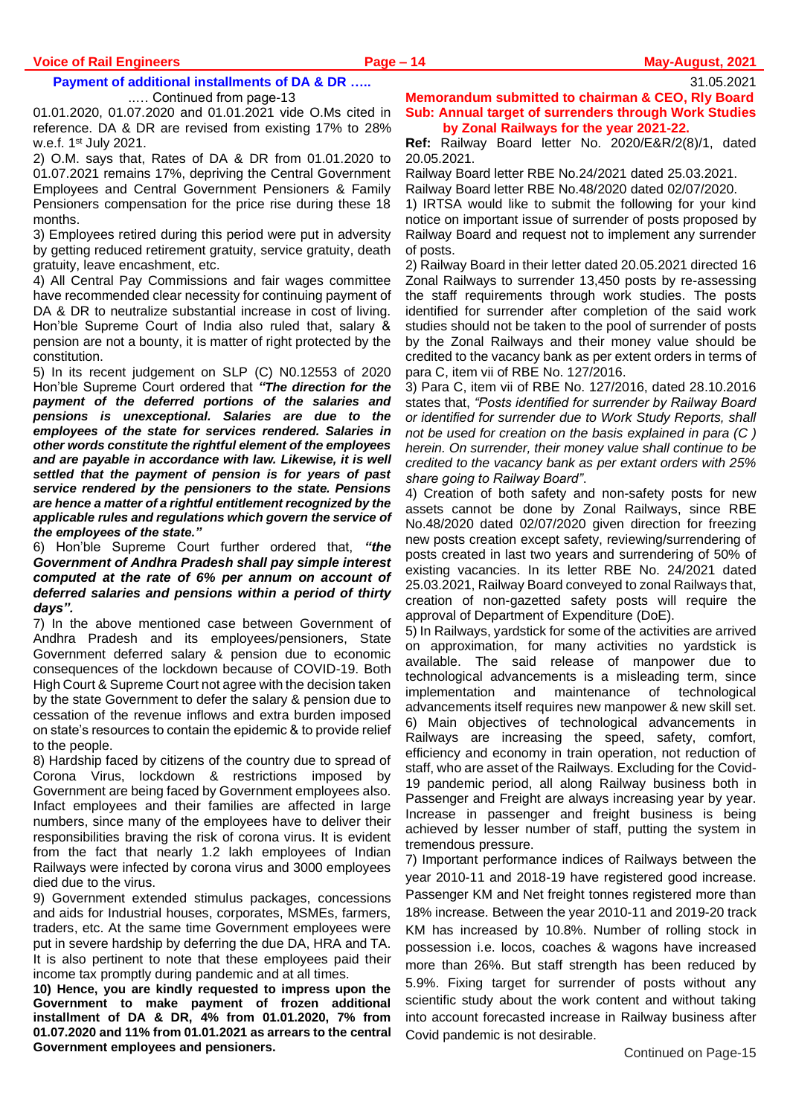# **Payment of additional installments of DA & DR …..**

..… Continued from page-13

01.01.2020, 01.07.2020 and 01.01.2021 vide O.Ms cited in reference. DA & DR are revised from existing 17% to 28% w.e.f. 1st July 2021.

2) O.M. says that, Rates of DA & DR from 01.01.2020 to 01.07.2021 remains 17%, depriving the Central Government Employees and Central Government Pensioners & Family Pensioners compensation for the price rise during these 18 months.

3) Employees retired during this period were put in adversity by getting reduced retirement gratuity, service gratuity, death gratuity, leave encashment, etc.

4) All Central Pay Commissions and fair wages committee have recommended clear necessity for continuing payment of DA & DR to neutralize substantial increase in cost of living. Hon'ble Supreme Court of India also ruled that, salary & pension are not a bounty, it is matter of right protected by the constitution.

5) In its recent judgement on SLP (C) N0.12553 of 2020 Hon'ble Supreme Court ordered that *"The direction for the payment of the deferred portions of the salaries and pensions is unexceptional. Salaries are due to the employees of the state for services rendered. Salaries in other words constitute the rightful element of the employees and are payable in accordance with law. Likewise, it is well settled that the payment of pension is for years of past service rendered by the pensioners to the state. Pensions are hence a matter of a rightful entitlement recognized by the applicable rules and regulations which govern the service of the employees of the state."* 

6) Hon'ble Supreme Court further ordered that, *"the Government of Andhra Pradesh shall pay simple interest computed at the rate of 6% per annum on account of deferred salaries and pensions within a period of thirty days".* 

7) In the above mentioned case between Government of Andhra Pradesh and its employees/pensioners, State Government deferred salary & pension due to economic consequences of the lockdown because of COVID-19. Both High Court & Supreme Court not agree with the decision taken by the state Government to defer the salary & pension due to cessation of the revenue inflows and extra burden imposed on state's resources to contain the epidemic & to provide relief to the people.

8) Hardship faced by citizens of the country due to spread of Corona Virus, lockdown & restrictions imposed by Government are being faced by Government employees also. Infact employees and their families are affected in large numbers, since many of the employees have to deliver their responsibilities braving the risk of corona virus. It is evident from the fact that nearly 1.2 lakh employees of Indian Railways were infected by corona virus and 3000 employees died due to the virus.

9) Government extended stimulus packages, concessions and aids for Industrial houses, corporates, MSMEs, farmers, traders, etc. At the same time Government employees were put in severe hardship by deferring the due DA, HRA and TA. It is also pertinent to note that these employees paid their income tax promptly during pandemic and at all times.

**10) Hence, you are kindly requested to impress upon the Government to make payment of frozen additional installment of DA & DR, 4% from 01.01.2020, 7% from 01.07.2020 and 11% from 01.01.2021 as arrears to the central Government employees and pensioners.**

**Memorandum submitted to chairman & CEO, Rly Board Sub: Annual target of surrenders through Work Studies by Zonal Railways for the year 2021-22.**

**Ref:** Railway Board letter No. 2020/E&R/2(8)/1, dated 20.05.2021.

Railway Board letter RBE No.24/2021 dated 25.03.2021.

Railway Board letter RBE No.48/2020 dated 02/07/2020. 1) IRTSA would like to submit the following for your kind notice on important issue of surrender of posts proposed by Railway Board and request not to implement any surrender of posts.

2) Railway Board in their letter dated 20.05.2021 directed 16 Zonal Railways to surrender 13,450 posts by re-assessing the staff requirements through work studies. The posts identified for surrender after completion of the said work studies should not be taken to the pool of surrender of posts by the Zonal Railways and their money value should be credited to the vacancy bank as per extent orders in terms of para C, item vii of RBE No. 127/2016.

3) Para C, item vii of RBE No. 127/2016, dated 28.10.2016 states that, *"Posts identified for surrender by Railway Board or identified for surrender due to Work Study Reports, shall not be used for creation on the basis explained in para (C ) herein. On surrender, their money value shall continue to be credited to the vacancy bank as per extant orders with 25% share going to Railway Board"*.

4) Creation of both safety and non-safety posts for new assets cannot be done by Zonal Railways, since RBE No.48/2020 dated 02/07/2020 given direction for freezing new posts creation except safety, reviewing/surrendering of posts created in last two years and surrendering of 50% of existing vacancies. In its letter RBE No. 24/2021 dated 25.03.2021, Railway Board conveyed to zonal Railways that, creation of non-gazetted safety posts will require the approval of Department of Expenditure (DoE).

5) In Railways, yardstick for some of the activities are arrived on approximation, for many activities no yardstick is available. The said release of manpower due to technological advancements is a misleading term, since implementation and maintenance of technological advancements itself requires new manpower & new skill set. 6) Main objectives of technological advancements in Railways are increasing the speed, safety, comfort, efficiency and economy in train operation, not reduction of staff, who are asset of the Railways. Excluding for the Covid-19 pandemic period, all along Railway business both in Passenger and Freight are always increasing year by year. Increase in passenger and freight business is being achieved by lesser number of staff, putting the system in tremendous pressure.

7) Important performance indices of Railways between the year 2010-11 and 2018-19 have registered good increase. Passenger KM and Net freight tonnes registered more than 18% increase. Between the year 2010-11 and 2019-20 track KM has increased by 10.8%. Number of rolling stock in possession i.e. locos, coaches & wagons have increased more than 26%. But staff strength has been reduced by 5.9%. Fixing target for surrender of posts without any scientific study about the work content and without taking into account forecasted increase in Railway business after Covid pandemic is not desirable.

31.05.2021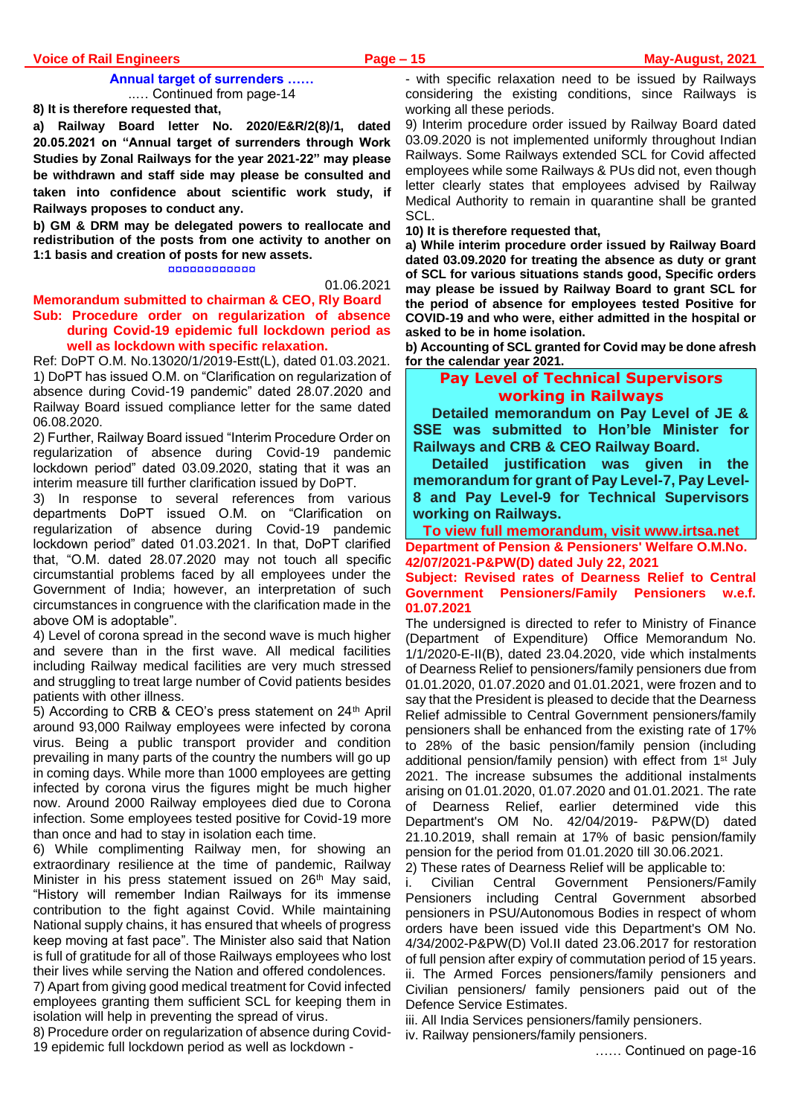#### **Voice of Rail Engineers Page – 15 May-August, 2021**

#### **Annual target of surrenders ……** ..… Continued from page-14

**8) It is therefore requested that,** 

**a) Railway Board letter No. 2020/E&R/2(8)/1, dated 20.05.2021 on "Annual target of surrenders through Work Studies by Zonal Railways for the year 2021-22" may please be withdrawn and staff side may please be consulted and taken into confidence about scientific work study, if Railways proposes to conduct any.** 

**b) GM & DRM may be delegated powers to reallocate and redistribution of the posts from one activity to another on 1:1 basis and creation of posts for new assets.**

¤¤¤¤¤¤¤¤¤¤¤¤

#### 01.06.2021

#### **Memorandum submitted to chairman & CEO, Rly Board Sub: Procedure order on regularization of absence during Covid-19 epidemic full lockdown period as well as lockdown with specific relaxation.**

Ref: DoPT O.M. No.13020/1/2019-Estt(L), dated 01.03.2021. 1) DoPT has issued O.M. on "Clarification on regularization of absence during Covid-19 pandemic" dated 28.07.2020 and Railway Board issued compliance letter for the same dated 06.08.2020.

2) Further, Railway Board issued "Interim Procedure Order on regularization of absence during Covid-19 pandemic lockdown period" dated 03.09.2020, stating that it was an interim measure till further clarification issued by DoPT.

3) In response to several references from various departments DoPT issued O.M. on "Clarification on regularization of absence during Covid-19 pandemic lockdown period" dated 01.03.2021. In that, DoPT clarified that, "O.M. dated 28.07.2020 may not touch all specific circumstantial problems faced by all employees under the Government of India; however, an interpretation of such circumstances in congruence with the clarification made in the above OM is adoptable".

4) Level of corona spread in the second wave is much higher and severe than in the first wave. All medical facilities including Railway medical facilities are very much stressed and struggling to treat large number of Covid patients besides patients with other illness.

5) According to CRB & CEO's press statement on 24<sup>th</sup> April around 93,000 Railway employees were infected by corona virus. Being a public transport provider and condition prevailing in many parts of the country the numbers will go up in coming days. While more than 1000 employees are getting infected by corona virus the figures might be much higher now. Around 2000 Railway employees died due to Corona infection. Some employees tested positive for Covid-19 more than once and had to stay in isolation each time.

6) While complimenting Railway men, for showing an extraordinary resilience at the time of pandemic, Railway Minister in his press statement issued on 26<sup>th</sup> May said, "History will remember Indian Railways for its immense contribution to the fight against Covid. While maintaining National supply chains, it has ensured that wheels of progress keep moving at fast pace". The Minister also said that Nation is full of gratitude for all of those Railways employees who lost their lives while serving the Nation and offered condolences.

7) Apart from giving good medical treatment for Covid infected employees granting them sufficient SCL for keeping them in isolation will help in preventing the spread of virus.

8) Procedure order on regularization of absence during Covid-19 epidemic full lockdown period as well as lockdown -

- with specific relaxation need to be issued by Railways considering the existing conditions, since Railways is working all these periods.

9) Interim procedure order issued by Railway Board dated 03.09.2020 is not implemented uniformly throughout Indian Railways. Some Railways extended SCL for Covid affected employees while some Railways & PUs did not, even though letter clearly states that employees advised by Railway Medical Authority to remain in quarantine shall be granted SCL.

**10) It is therefore requested that,**

**a) While interim procedure order issued by Railway Board dated 03.09.2020 for treating the absence as duty or grant of SCL for various situations stands good, Specific orders may please be issued by Railway Board to grant SCL for the period of absence for employees tested Positive for COVID-19 and who were, either admitted in the hospital or asked to be in home isolation.**

**b) Accounting of SCL granted for Covid may be done afresh for the calendar year 2021.**

# **Pay Level of Technical Supervisors working in Railways**

**Detailed memorandum on Pay Level of JE & SSE was submitted to Hon'ble Minister for Railways and CRB & CEO Railway Board.**

**Detailed justification was given in the memorandum for grant of Pay Level-7, Pay Level-8 and Pay Level-9 for Technical Supervisors working on Railways.** 

**To view full memorandum, visit www.irtsa.net Department of Pension & Pensioners' Welfare O.M.No. 42/07/2021-P&PW(D) dated July 22, 2021**

**Subject: Revised rates of Dearness Relief to Central Government Pensioners/Family Pensioners w.e.f. 01.07.2021**

The undersigned is directed to refer to Ministry of Finance (Department of Expenditure) Office Memorandum No. 1/1/2020-E-II(B), dated 23.04.2020, vide which instalments of Dearness Relief to pensioners/family pensioners due from 01.01.2020, 01.07.2020 and 01.01.2021, were frozen and to say that the President is pleased to decide that the Dearness Relief admissible to Central Government pensioners/family pensioners shall be enhanced from the existing rate of 17% to 28% of the basic pension/family pension (including additional pension/family pension) with effect from 1<sup>st</sup> July 2021. The increase subsumes the additional instalments arising on 01.01.2020, 01.07.2020 and 01.01.2021. The rate of Dearness Relief, earlier determined vide this Department's OM No. 42/04/2019- P&PW(D) dated 21.10.2019, shall remain at 17% of basic pension/family pension for the period from 01.01.2020 till 30.06.2021.

2) These rates of Dearness Relief will be applicable to:

i. Civilian Central Government Pensioners/Family Pensioners including Central Government absorbed pensioners in PSU/Autonomous Bodies in respect of whom orders have been issued vide this Department's OM No. 4/34/2002-P&PW(D) Vol.II dated 23.06.2017 for restoration of full pension after expiry of commutation period of 15 years. ii. The Armed Forces pensioners/family pensioners and Civilian pensioners/ family pensioners paid out of the Defence Service Estimates.

iii. All India Services pensioners/family pensioners.

iv. Railway pensioners/family pensioners.